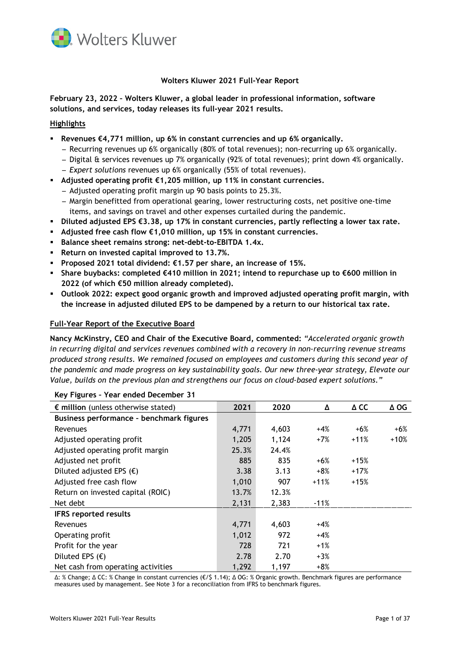

# **Wolters Kluwer 2021 Full-Year Report**

**February 23, 2022 – Wolters Kluwer, a global leader in professional information, software solutions, and services, today releases its full-year 2021 results.** 

## **Highlights**

- **Revenues €4,771 million, up 6% in constant currencies and up 6% organically.**
	- ̶ Recurring revenues up 6% organically (80% of total revenues); non-recurring up 6% organically.
	- ̶ Digital & services revenues up 7% organically (92% of total revenues); print down 4% organically.
	- ̶ *Expert solutions* revenues up 6% organically (55% of total revenues).
- **Adjusted operating profit €1,205 million, up 11% in constant currencies.**
	- ̶ Adjusted operating profit margin up 90 basis points to 25.3%.
	- ̶ Margin benefitted from operational gearing, lower restructuring costs, net positive one-time items, and savings on travel and other expenses curtailed during the pandemic.
- **Diluted adjusted EPS €3.38, up 17% in constant currencies, partly reflecting a lower tax rate.**
- **Adjusted free cash flow €1,010 million, up 15% in constant currencies.**
- **Balance sheet remains strong: net-debt-to-EBITDA 1.4x.**
- **Return on invested capital improved to 13.7%.**
- **Proposed 2021 total dividend: €1.57 per share, an increase of 15%.**
- **Share buybacks: completed €410 million in 2021; intend to repurchase up to €600 million in 2022 (of which €50 million already completed).**
- **Outlook 2022: expect good organic growth and improved adjusted operating profit margin, with the increase in adjusted diluted EPS to be dampened by a return to our historical tax rate.**

### **Full-Year Report of the Executive Board**

**Nancy McKinstry, CEO and Chair of the Executive Board, commented:** *"Accelerated organic growth in recurring digital and services revenues combined with a recovery in non-recurring revenue streams produced strong results. We remained focused on employees and customers during this second year of the pandemic and made progress on key sustainability goals. Our new three-year strategy, Elevate our Value, builds on the previous plan and strengthens our focus on cloud-based expert solutions."*

| $\epsilon$ million (unless otherwise stated) | 2021  | 2020  | Δ      | $\Delta$ CC | $\Delta$ OG |
|----------------------------------------------|-------|-------|--------|-------------|-------------|
| Business performance - benchmark figures     |       |       |        |             |             |
| Revenues                                     | 4,771 | 4,603 | $+4%$  | $+6%$       | $+6%$       |
| Adjusted operating profit                    | 1,205 | 1,124 | $+7%$  | $+11%$      | $+10%$      |
| Adjusted operating profit margin             | 25.3% | 24.4% |        |             |             |
| Adjusted net profit                          | 885   | 835   | $+6%$  | $+15%$      |             |
| Diluted adjusted EPS $(\epsilon)$            | 3.38  | 3.13  | $+8%$  | $+17%$      |             |
| Adjusted free cash flow                      | 1,010 | 907   | $+11%$ | $+15%$      |             |
| Return on invested capital (ROIC)            | 13.7% | 12.3% |        |             |             |
| Net debt                                     | 2,131 | 2,383 | $-11%$ |             |             |
| <b>IFRS reported results</b>                 |       |       |        |             |             |
| Revenues                                     | 4,771 | 4,603 | $+4%$  |             |             |
| Operating profit                             | 1,012 | 972   | $+4%$  |             |             |
| Profit for the year                          | 728   | 721   | $+1%$  |             |             |
| Diluted EPS $(\epsilon)$                     | 2.78  | 2.70  | $+3%$  |             |             |
| Net cash from operating activities           | 1,292 | 1,197 | $+8%$  |             |             |

**Key Figures – Year ended December 31**

∆: % Change; ∆ CC: % Change in constant currencies (€/\$ 1.14); ∆ OG: % Organic growth. Benchmark figures are performance measures used by management. See Note 3 for a reconciliation from IFRS to benchmark figures.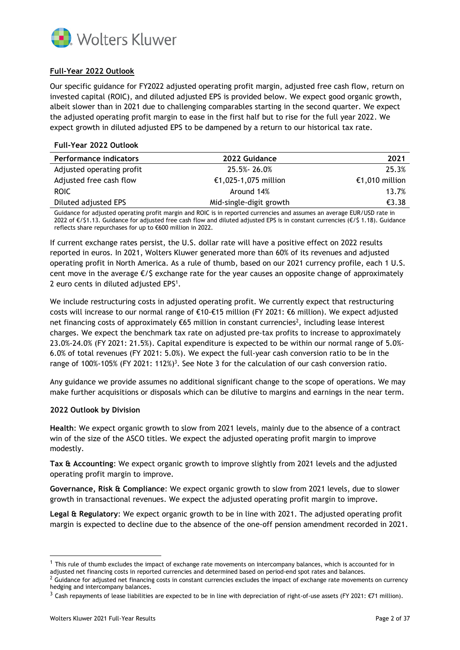

# **Full-Year 2022 Outlook**

Our specific guidance for FY2022 adjusted operating profit margin, adjusted free cash flow, return on invested capital (ROIC), and diluted adjusted EPS is provided below. We expect good organic growth, albeit slower than in 2021 due to challenging comparables starting in the second quarter. We expect the adjusted operating profit margin to ease in the first half but to rise for the full year 2022. We expect growth in diluted adjusted EPS to be dampened by a return to our historical tax rate.

### **Full-Year 2022 Outlook**

| <b>Performance indicators</b> | 2022 Guidance           | 2021           |
|-------------------------------|-------------------------|----------------|
| Adjusted operating profit     | 25.5%-26.0%             | 25.3%          |
| Adjusted free cash flow       | €1,025-1,075 million    | €1,010 million |
| ROIC.                         | Around 14%              | 13.7%          |
| Diluted adjusted EPS          | Mid-single-digit growth | €3.38          |

Guidance for adjusted operating profit margin and ROIC is in reported currencies and assumes an average EUR/USD rate in 2022 of €/\$1.13. Guidance for adjusted free cash flow and diluted adjusted EPS is in constant currencies (€/\$ 1.18). Guidance reflects share repurchases for up to €600 million in 2022.

If current exchange rates persist, the U.S. dollar rate will have a positive effect on 2022 results reported in euros. In 2021, Wolters Kluwer generated more than 60% of its revenues and adjusted operating profit in North America. As a rule of thumb, based on our 2021 currency profile, each 1 U.S. cent move in the average  $\epsilon$ /\$ exchange rate for the year causes an opposite change of approximately 2 euro cents in diluted adjusted EPS<sup>1</sup>.

We include restructuring costs in adjusted operating profit. We currently expect that restructuring costs will increase to our normal range of €10-€15 million (FY 2021: €6 million). We expect adjusted net financing costs of approximately  $\epsilon$ 65 million in constant currencies<sup>2</sup>, including lease interest charges. We expect the benchmark tax rate on adjusted pre-tax profits to increase to approximately 23.0%-24.0% (FY 2021: 21.5%). Capital expenditure is expected to be within our normal range of 5.0%- 6.0% of total revenues (FY 2021: 5.0%). We expect the full-year cash conversion ratio to be in the range of 100%-105% (FY 2021: 112%)<sup>3</sup>. See Note 3 for the calculation of our cash conversion ratio.

Any guidance we provide assumes no additional significant change to the scope of operations. We may make further acquisitions or disposals which can be dilutive to margins and earnings in the near term.

## **2022 Outlook by Division**

**Health**: We expect organic growth to slow from 2021 levels, mainly due to the absence of a contract win of the size of the ASCO titles. We expect the adjusted operating profit margin to improve modestly.

**Tax & Accounting**: We expect organic growth to improve slightly from 2021 levels and the adjusted operating profit margin to improve.

**Governance, Risk & Compliance**: We expect organic growth to slow from 2021 levels, due to slower growth in transactional revenues. We expect the adjusted operating profit margin to improve.

**Legal & Regulatory**: We expect organic growth to be in line with 2021. The adjusted operating profit margin is expected to decline due to the absence of the one-off pension amendment recorded in 2021.

 $1$  This rule of thumb excludes the impact of exchange rate movements on intercompany balances, which is accounted for in adjusted net financing costs in reported currencies and determined based on period-end spot rates and balances.

 $2$  Guidance for adjusted net financing costs in constant currencies excludes the impact of exchange rate movements on currency hedging and intercompany balances.

<sup>&</sup>lt;sup>3</sup> Cash repayments of lease liabilities are expected to be in line with depreciation of right-of-use assets (FY 2021: €71 million).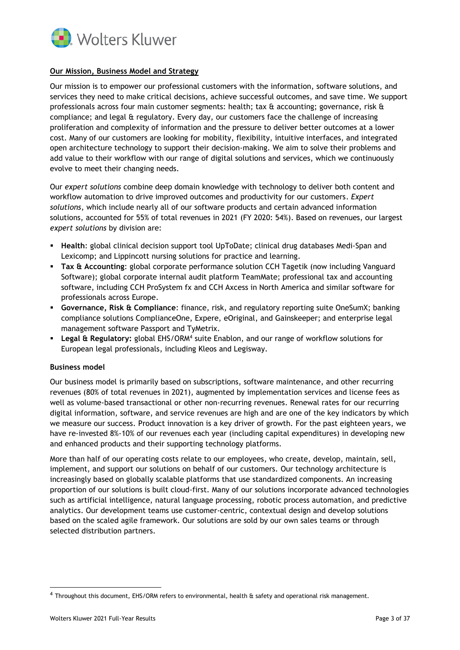

## **Our Mission, Business Model and Strategy**

Our mission is to empower our professional customers with the information, software solutions, and services they need to make critical decisions, achieve successful outcomes, and save time. We support professionals across four main customer segments: health; tax  $\alpha$  accounting; governance, risk  $\alpha$ compliance; and legal & regulatory. Every day, our customers face the challenge of increasing proliferation and complexity of information and the pressure to deliver better outcomes at a lower cost. Many of our customers are looking for mobility, flexibility, intuitive interfaces, and integrated open architecture technology to support their decision-making. We aim to solve their problems and add value to their workflow with our range of digital solutions and services, which we continuously evolve to meet their changing needs.

Our *expert solutions* combine deep domain knowledge with technology to deliver both content and workflow automation to drive improved outcomes and productivity for our customers. *Expert solutions*, which include nearly all of our software products and certain advanced information solutions, accounted for 55% of total revenues in 2021 (FY 2020: 54%). Based on revenues, our largest *expert solutions* by division are:

- **Health**: global clinical decision support tool UpToDate; clinical drug databases Medi-Span and Lexicomp; and Lippincott nursing solutions for practice and learning.
- **Tax & Accounting**: global corporate performance solution CCH Tagetik (now including Vanguard Software); global corporate internal audit platform TeamMate; professional tax and accounting software, including CCH ProSystem fx and CCH Axcess in North America and similar software for professionals across Europe.
- **Governance, Risk & Compliance**: finance, risk, and regulatory reporting suite OneSumX; banking compliance solutions ComplianceOne, Expere, eOriginal, and Gainskeeper; and enterprise legal management software Passport and TyMetrix.
- **Legal & Regulatory:** global EHS/ORM<sup>4</sup> suite Enablon, and our range of workflow solutions for European legal professionals, including Kleos and Legisway.

## **Business model**

Our business model is primarily based on subscriptions, software maintenance, and other recurring revenues (80% of total revenues in 2021), augmented by implementation services and license fees as well as volume-based transactional or other non-recurring revenues. Renewal rates for our recurring digital information, software, and service revenues are high and are one of the key indicators by which we measure our success. Product innovation is a key driver of growth. For the past eighteen years, we have re-invested 8%-10% of our revenues each year (including capital expenditures) in developing new and enhanced products and their supporting technology platforms.

More than half of our operating costs relate to our employees, who create, develop, maintain, sell, implement, and support our solutions on behalf of our customers. Our technology architecture is increasingly based on globally scalable platforms that use standardized components. An increasing proportion of our solutions is built cloud-first. Many of our solutions incorporate advanced technologies such as artificial intelligence, natural language processing, robotic process automation, and predictive analytics. Our development teams use customer-centric, contextual design and develop solutions based on the scaled agile framework. Our solutions are sold by our own sales teams or through selected distribution partners.

<sup>4</sup> Throughout this document, EHS/ORM refers to environmental, health & safety and operational risk management.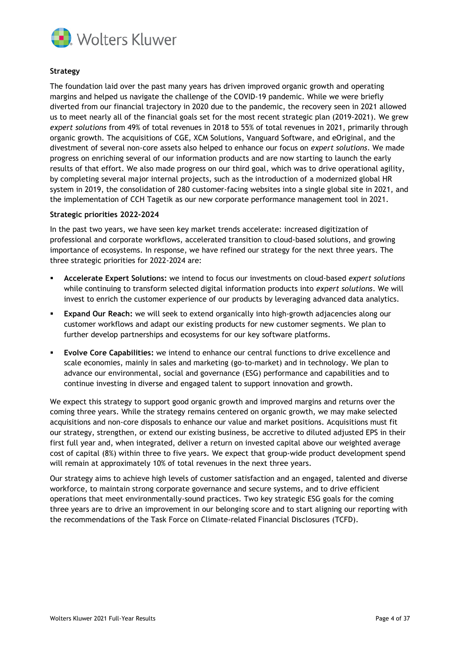

## **Strategy**

The foundation laid over the past many years has driven improved organic growth and operating margins and helped us navigate the challenge of the COVID-19 pandemic. While we were briefly diverted from our financial trajectory in 2020 due to the pandemic, the recovery seen in 2021 allowed us to meet nearly all of the financial goals set for the most recent strategic plan (2019-2021). We grew *expert solutions* from 49% of total revenues in 2018 to 55% of total revenues in 2021, primarily through organic growth. The acquisitions of CGE, XCM Solutions, Vanguard Software, and eOriginal, and the divestment of several non-core assets also helped to enhance our focus on *expert solutions*. We made progress on enriching several of our information products and are now starting to launch the early results of that effort. We also made progress on our third goal, which was to drive operational agility, by completing several major internal projects, such as the introduction of a modernized global HR system in 2019, the consolidation of 280 customer-facing websites into a single global site in 2021, and the implementation of CCH Tagetik as our new corporate performance management tool in 2021.

#### **Strategic priorities 2022-2024**

In the past two years, we have seen key market trends accelerate: increased digitization of professional and corporate workflows, accelerated transition to cloud-based solutions, and growing importance of ecosystems. In response, we have refined our strategy for the next three years. The three strategic priorities for 2022-2024 are:

- **Accelerate Expert Solutions:** we intend to focus our investments on cloud-based *expert solutions* while continuing to transform selected digital information products into *expert solutions*. We will invest to enrich the customer experience of our products by leveraging advanced data analytics.
- **Expand Our Reach:** we will seek to extend organically into high-growth adjacencies along our customer workflows and adapt our existing products for new customer segments. We plan to further develop partnerships and ecosystems for our key software platforms.
- **Evolve Core Capabilities:** we intend to enhance our central functions to drive excellence and scale economies, mainly in sales and marketing (go-to-market) and in technology. We plan to advance our environmental, social and governance (ESG) performance and capabilities and to continue investing in diverse and engaged talent to support innovation and growth.

We expect this strategy to support good organic growth and improved margins and returns over the coming three years. While the strategy remains centered on organic growth, we may make selected acquisitions and non-core disposals to enhance our value and market positions. Acquisitions must fit our strategy, strengthen, or extend our existing business, be accretive to diluted adjusted EPS in their first full year and, when integrated, deliver a return on invested capital above our weighted average cost of capital (8%) within three to five years. We expect that group-wide product development spend will remain at approximately 10% of total revenues in the next three years.

Our strategy aims to achieve high levels of customer satisfaction and an engaged, talented and diverse workforce, to maintain strong corporate governance and secure systems, and to drive efficient operations that meet environmentally-sound practices. Two key strategic ESG goals for the coming three years are to drive an improvement in our belonging score and to start aligning our reporting with the recommendations of the Task Force on Climate-related Financial Disclosures (TCFD).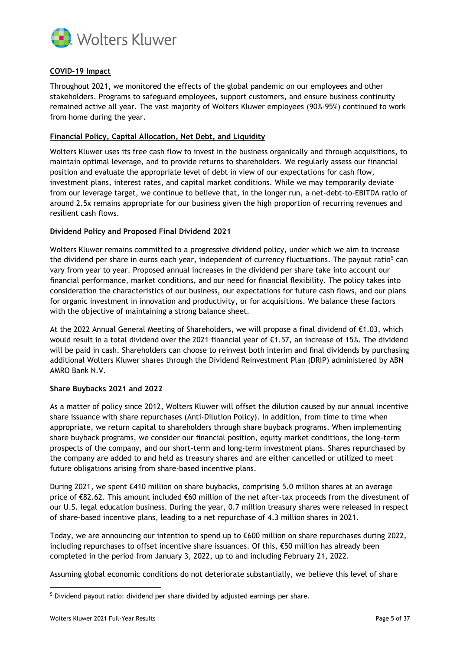

# **COVID-19 Impact**

Throughout 2021, we monitored the effects of the global pandemic on our employees and other stakeholders. Programs to safeguard employees, support customers, and ensure business continuity remained active all year. The vast majority of Wolters Kluwer employees (90%-95%) continued to work from home during the year.

## **Financial Policy, Capital Allocation, Net Debt, and Liquidity**

Wolters Kluwer uses its free cash flow to invest in the business organically and through acquisitions, to maintain optimal leverage, and to provide returns to shareholders. We regularly assess our financial position and evaluate the appropriate level of debt in view of our expectations for cash flow, investment plans, interest rates, and capital market conditions. While we may temporarily deviate from our leverage target, we continue to believe that, in the longer run, a net-debt-to-EBITDA ratio of around 2.5x remains appropriate for our business given the high proportion of recurring revenues and resilient cash flows.

# **Dividend Policy and Proposed Final Dividend 2021**

Wolters Kluwer remains committed to a progressive dividend policy, under which we aim to increase the dividend per share in euros each year, independent of currency fluctuations. The payout ratio<sup>5</sup> can vary from year to year. Proposed annual increases in the dividend per share take into account our financial performance, market conditions, and our need for financial flexibility. The policy takes into consideration the characteristics of our business, our expectations for future cash flows, and our plans for organic investment in innovation and productivity, or for acquisitions. We balance these factors with the objective of maintaining a strong balance sheet.

At the 2022 Annual General Meeting of Shareholders, we will propose a final dividend of €1.03, which would result in a total dividend over the 2021 financial year of €1.57, an increase of 15%. The dividend will be paid in cash. Shareholders can choose to reinvest both interim and final dividends by purchasing additional Wolters Kluwer shares through the Dividend Reinvestment Plan (DRIP) administered by ABN AMRO Bank N.V.

## **Share Buybacks 2021 and 2022**

As a matter of policy since 2012, Wolters Kluwer will offset the dilution caused by our annual incentive share issuance with share repurchases (Anti-Dilution Policy). In addition, from time to time when appropriate, we return capital to shareholders through share buyback programs. When implementing share buyback programs, we consider our financial position, equity market conditions, the long-term prospects of the company, and our short-term and long-term investment plans. Shares repurchased by the company are added to and held as treasury shares and are either cancelled or utilized to meet future obligations arising from share-based incentive plans.

During 2021, we spent €410 million on share buybacks, comprising 5.0 million shares at an average price of €82.62. This amount included €60 million of the net after-tax proceeds from the divestment of our U.S. legal education business. During the year, 0.7 million treasury shares were released in respect of share-based incentive plans, leading to a net repurchase of 4.3 million shares in 2021.

Today, we are announcing our intention to spend up to €600 million on share repurchases during 2022, including repurchases to offset incentive share issuances. Of this, €50 million has already been completed in the period from January 3, 2022, up to and including February 21, 2022.

Assuming global economic conditions do not deteriorate substantially, we believe this level of share

<sup>5</sup> Dividend payout ratio: dividend per share divided by adjusted earnings per share.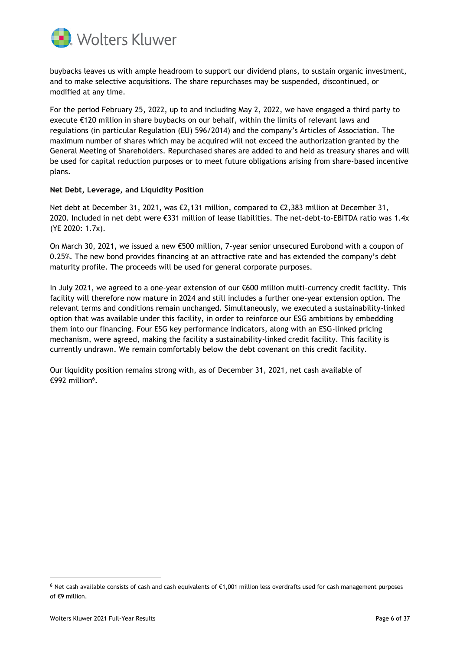

buybacks leaves us with ample headroom to support our dividend plans, to sustain organic investment, and to make selective acquisitions. The share repurchases may be suspended, discontinued, or modified at any time.

For the period February 25, 2022, up to and including May 2, 2022, we have engaged a third party to execute €120 million in share buybacks on our behalf, within the limits of relevant laws and regulations (in particular Regulation (EU) 596/2014) and the company's Articles of Association. The maximum number of shares which may be acquired will not exceed the authorization granted by the General Meeting of Shareholders. Repurchased shares are added to and held as treasury shares and will be used for capital reduction purposes or to meet future obligations arising from share-based incentive plans.

### **Net Debt, Leverage, and Liquidity Position**

Net debt at December 31, 2021, was €2,131 million, compared to €2,383 million at December 31, 2020. Included in net debt were €331 million of lease liabilities. The net-debt-to-EBITDA ratio was 1.4x (YE 2020: 1.7x).

On March 30, 2021, we issued a new €500 million, 7-year senior unsecured Eurobond with a coupon of 0.25%. The new bond provides financing at an attractive rate and has extended the company's debt maturity profile. The proceeds will be used for general corporate purposes.

In July 2021, we agreed to a one-year extension of our €600 million multi-currency credit facility. This facility will therefore now mature in 2024 and still includes a further one-year extension option. The relevant terms and conditions remain unchanged. Simultaneously, we executed a sustainability-linked option that was available under this facility, in order to reinforce our ESG ambitions by embedding them into our financing. Four ESG key performance indicators, along with an ESG-linked pricing mechanism, were agreed, making the facility a sustainability-linked credit facility. This facility is currently undrawn. We remain comfortably below the debt covenant on this credit facility.

Our liquidity position remains strong with, as of December 31, 2021, net cash available of €992 million $^6$ .

<sup>6</sup> Net cash available consists of cash and cash equivalents of €1,001 million less overdrafts used for cash management purposes of €9 million.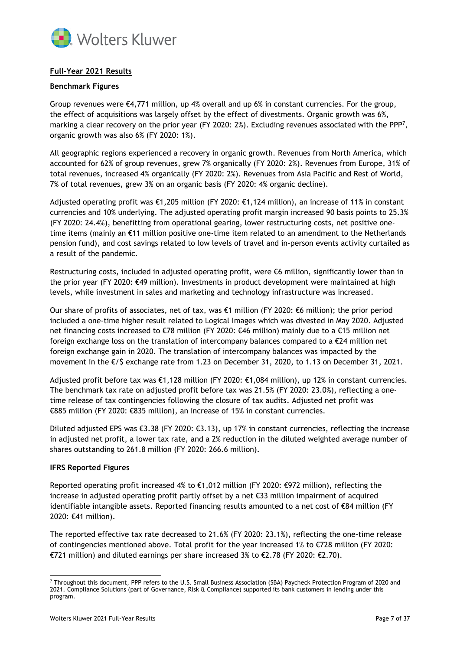

# **Full-Year 2021 Results**

## **Benchmark Figures**

Group revenues were  $\epsilon$ 4,771 million, up 4% overall and up 6% in constant currencies. For the group, the effect of acquisitions was largely offset by the effect of divestments. Organic growth was 6%, marking a clear recovery on the prior year (FY 2020: 2%). Excluding revenues associated with the PPP<sup>7</sup>, organic growth was also 6% (FY 2020: 1%).

All geographic regions experienced a recovery in organic growth. Revenues from North America, which accounted for 62% of group revenues, grew 7% organically (FY 2020: 2%). Revenues from Europe, 31% of total revenues, increased 4% organically (FY 2020: 2%). Revenues from Asia Pacific and Rest of World, 7% of total revenues, grew 3% on an organic basis (FY 2020: 4% organic decline).

Adjusted operating profit was €1,205 million (FY 2020: €1,124 million), an increase of 11% in constant currencies and 10% underlying. The adjusted operating profit margin increased 90 basis points to 25.3% (FY 2020: 24.4%), benefitting from operational gearing, lower restructuring costs, net positive onetime items (mainly an €11 million positive one-time item related to an amendment to the Netherlands pension fund), and cost savings related to low levels of travel and in-person events activity curtailed as a result of the pandemic.

Restructuring costs, included in adjusted operating profit, were  $\epsilon$ 6 million, significantly lower than in the prior year (FY 2020: €49 million). Investments in product development were maintained at high levels, while investment in sales and marketing and technology infrastructure was increased.

Our share of profits of associates, net of tax, was €1 million (FY 2020: €6 million); the prior period included a one-time higher result related to Logical Images which was divested in May 2020. Adjusted net financing costs increased to €78 million (FY 2020: €46 million) mainly due to a €15 million net foreign exchange loss on the translation of intercompany balances compared to a  $\epsilon$ 24 million net foreign exchange gain in 2020. The translation of intercompany balances was impacted by the movement in the €/\$ exchange rate from 1.23 on December 31, 2020, to 1.13 on December 31, 2021.

Adjusted profit before tax was €1,128 million (FY 2020: €1,084 million), up 12% in constant currencies. The benchmark tax rate on adjusted profit before tax was 21.5% (FY 2020: 23.0%), reflecting a onetime release of tax contingencies following the closure of tax audits. Adjusted net profit was €885 million (FY 2020: €835 million), an increase of 15% in constant currencies.

Diluted adjusted EPS was €3.38 (FY 2020: €3.13), up 17% in constant currencies, reflecting the increase in adjusted net profit, a lower tax rate, and a 2% reduction in the diluted weighted average number of shares outstanding to 261.8 million (FY 2020: 266.6 million).

#### **IFRS Reported Figures**

Reported operating profit increased 4% to €1,012 million (FY 2020: €972 million), reflecting the increase in adjusted operating profit partly offset by a net €33 million impairment of acquired identifiable intangible assets. Reported financing results amounted to a net cost of  $\epsilon$ 84 million (FY 2020: €41 million).

The reported effective tax rate decreased to 21.6% (FY 2020: 23.1%), reflecting the one-time release of contingencies mentioned above. Total profit for the year increased 1% to €728 million (FY 2020: €721 million) and diluted earnings per share increased 3% to €2.78 (FY 2020: €2.70).

<sup>7</sup> Throughout this document, PPP refers to the U.S. Small Business Association (SBA) Paycheck Protection Program of 2020 and 2021. Compliance Solutions (part of Governance, Risk & Compliance) supported its bank customers in lending under this program.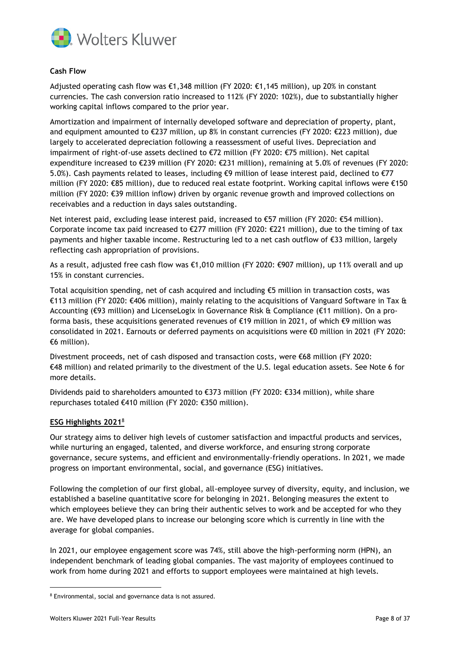

## **Cash Flow**

Adjusted operating cash flow was €1,348 million (FY 2020: €1,145 million), up 20% in constant currencies. The cash conversion ratio increased to 112% (FY 2020: 102%), due to substantially higher working capital inflows compared to the prior year.

Amortization and impairment of internally developed software and depreciation of property, plant, and equipment amounted to €237 million, up 8% in constant currencies (FY 2020: €223 million), due largely to accelerated depreciation following a reassessment of useful lives. Depreciation and impairment of right-of-use assets declined to €72 million (FY 2020: €75 million). Net capital expenditure increased to €239 million (FY 2020: €231 million), remaining at 5.0% of revenues (FY 2020: 5.0%). Cash payments related to leases, including  $€9$  million of lease interest paid, declined to  $€77$ million (FY 2020: €85 million), due to reduced real estate footprint. Working capital inflows were €150 million (FY 2020: €39 million inflow) driven by organic revenue growth and improved collections on receivables and a reduction in days sales outstanding.

Net interest paid, excluding lease interest paid, increased to €57 million (FY 2020: €54 million). Corporate income tax paid increased to €277 million (FY 2020: €221 million), due to the timing of tax payments and higher taxable income. Restructuring led to a net cash outflow of €33 million, largely reflecting cash appropriation of provisions.

As a result, adjusted free cash flow was €1,010 million (FY 2020: €907 million), up 11% overall and up 15% in constant currencies.

Total acquisition spending, net of cash acquired and including €5 million in transaction costs, was €113 million (FY 2020: €406 million), mainly relating to the acquisitions of Vanguard Software in Tax & Accounting (€93 million) and LicenseLogix in Governance Risk & Compliance (€11 million). On a proforma basis, these acquisitions generated revenues of €19 million in 2021, of which €9 million was consolidated in 2021. Earnouts or deferred payments on acquisitions were €0 million in 2021 (FY 2020: €6 million).

Divestment proceeds, net of cash disposed and transaction costs, were €68 million (FY 2020: €48 million) and related primarily to the divestment of the U.S. legal education assets. See Note 6 for more details.

Dividends paid to shareholders amounted to €373 million (FY 2020: €334 million), while share repurchases totaled €410 million (FY 2020: €350 million).

## **ESG Highlights 2021** 8

Our strategy aims to deliver high levels of customer satisfaction and impactful products and services, while nurturing an engaged, talented, and diverse workforce, and ensuring strong corporate governance, secure systems, and efficient and environmentally-friendly operations. In 2021, we made progress on important environmental, social, and governance (ESG) initiatives.

Following the completion of our first global, all-employee survey of diversity, equity, and inclusion, we established a baseline quantitative score for belonging in 2021. Belonging measures the extent to which employees believe they can bring their authentic selves to work and be accepted for who they are. We have developed plans to increase our belonging score which is currently in line with the average for global companies.

In 2021, our employee engagement score was 74%, still above the high-performing norm (HPN), an independent benchmark of leading global companies. The vast majority of employees continued to work from home during 2021 and efforts to support employees were maintained at high levels.

<sup>8</sup> Environmental, social and governance data is not assured.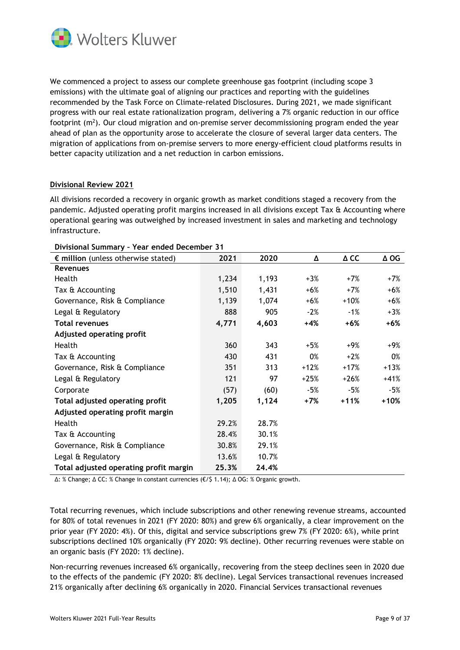

We commenced a project to assess our complete greenhouse gas footprint (including scope 3 emissions) with the ultimate goal of aligning our practices and reporting with the guidelines recommended by the Task Force on Climate-related Disclosures. During 2021, we made significant progress with our real estate rationalization program, delivering a 7% organic reduction in our office footprint ( $m^2$ ). Our cloud migration and on-premise server decommissioning program ended the year ahead of plan as the opportunity arose to accelerate the closure of several larger data centers. The migration of applications from on-premise servers to more energy-efficient cloud platforms results in better capacity utilization and a net reduction in carbon emissions.

## **Divisional Review 2021**

All divisions recorded a recovery in organic growth as market conditions staged a recovery from the pandemic. Adjusted operating profit margins increased in all divisions except Tax & Accounting where operational gearing was outweighed by increased investment in sales and marketing and technology infrastructure.

| <b>BUTHER SAILLING</b>                       |       |       |        |        |             |  |  |  |
|----------------------------------------------|-------|-------|--------|--------|-------------|--|--|--|
| $\epsilon$ million (unless otherwise stated) | 2021  | 2020  | Δ      | Δ CC   | $\Delta$ OG |  |  |  |
| <b>Revenues</b>                              |       |       |        |        |             |  |  |  |
| Health                                       | 1,234 | 1,193 | $+3%$  | $+7%$  | $+7%$       |  |  |  |
| Tax & Accounting                             | 1,510 | 1,431 | $+6%$  | $+7%$  | $+6%$       |  |  |  |
| Governance, Risk & Compliance                | 1,139 | 1,074 | $+6%$  | $+10%$ | $+6%$       |  |  |  |
| Legal & Regulatory                           | 888   | 905   | $-2%$  | $-1%$  | $+3%$       |  |  |  |
| <b>Total revenues</b>                        | 4,771 | 4,603 | $+4%$  | +6%    | $+6%$       |  |  |  |
| <b>Adjusted operating profit</b>             |       |       |        |        |             |  |  |  |
| Health                                       | 360   | 343   | $+5%$  | +9%    | +9%         |  |  |  |
| Tax & Accounting                             | 430   | 431   | 0%     | $+2%$  | 0%          |  |  |  |
| Governance, Risk & Compliance                | 351   | 313   | $+12%$ | $+17%$ | $+13%$      |  |  |  |
| Legal & Regulatory                           | 121   | 97    | $+25%$ | $+26%$ | $+41%$      |  |  |  |
| Corporate                                    | (57)  | (60)  | $-5%$  | -5%    | $-5%$       |  |  |  |
| Total adjusted operating profit              | 1,205 | 1,124 | +7%    | $+11%$ | $+10%$      |  |  |  |
| Adjusted operating profit margin             |       |       |        |        |             |  |  |  |
| Health                                       | 29.2% | 28.7% |        |        |             |  |  |  |
| Tax & Accounting                             | 28.4% | 30.1% |        |        |             |  |  |  |
| Governance, Risk & Compliance                | 30.8% | 29.1% |        |        |             |  |  |  |
| Legal & Regulatory                           | 13.6% | 10.7% |        |        |             |  |  |  |
| Total adjusted operating profit margin       | 25.3% | 24.4% |        |        |             |  |  |  |

#### **Divisional Summary – Year ended December 31**

∆: % Change; ∆ CC: % Change in constant currencies (€/\$ 1.14); ∆ OG: % Organic growth.

Total recurring revenues, which include subscriptions and other renewing revenue streams, accounted for 80% of total revenues in 2021 (FY 2020: 80%) and grew 6% organically, a clear improvement on the prior year (FY 2020: 4%). Of this, digital and service subscriptions grew 7% (FY 2020: 6%), while print subscriptions declined 10% organically (FY 2020: 9% decline). Other recurring revenues were stable on an organic basis (FY 2020: 1% decline).

Non-recurring revenues increased 6% organically, recovering from the steep declines seen in 2020 due to the effects of the pandemic (FY 2020: 8% decline). Legal Services transactional revenues increased 21% organically after declining 6% organically in 2020. Financial Services transactional revenues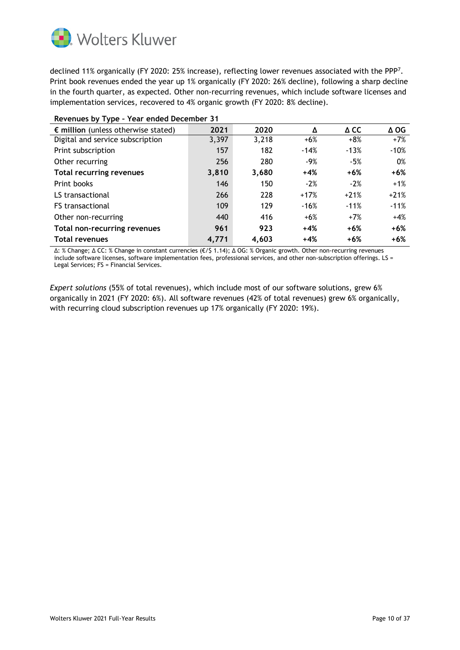

declined 11% organically (FY 2020: 25% increase), reflecting lower revenues associated with the PPP<sup>7</sup>. Print book revenues ended the year up 1% organically (FY 2020: 26% decline), following a sharp decline in the fourth quarter, as expected. Other non-recurring revenues, which include software licenses and implementation services, recovered to 4% organic growth (FY 2020: 8% decline).

| Revenues by Type - Year ended December 31    |       |       |        |                |             |  |  |
|----------------------------------------------|-------|-------|--------|----------------|-------------|--|--|
| $\epsilon$ million (unless otherwise stated) | 2021  | 2020  | Δ      | $\triangle$ CC | $\Delta$ OG |  |  |
| Digital and service subscription             | 3,397 | 3,218 | $+6%$  | $+8%$          | $+7%$       |  |  |
| Print subscription                           | 157   | 182   | $-14%$ | $-13%$         | $-10%$      |  |  |
| Other recurring                              | 256   | 280   | $-9%$  | -5%            | 0%          |  |  |
| <b>Total recurring revenues</b>              | 3,810 | 3,680 | $+4%$  | $+6%$          | $+6%$       |  |  |
| Print books                                  | 146   | 150   | $-2%$  | $-2%$          | $+1%$       |  |  |
| LS transactional                             | 266   | 228   | $+17%$ | $+21%$         | $+21%$      |  |  |
| <b>FS</b> transactional                      | 109   | 129   | $-16%$ | $-11%$         | $-11%$      |  |  |
| Other non-recurring                          | 440   | 416   | $+6%$  | $+7%$          | $+4%$       |  |  |
| <b>Total non-recurring revenues</b>          | 961   | 923   | $+4%$  | $+6%$          | $+6%$       |  |  |
| <b>Total revenues</b>                        | 4,771 | 4,603 | $+4%$  | +6%            | $+6%$       |  |  |

∆: % Change; ∆ CC: % Change in constant currencies (€/\$ 1.14); ∆ OG: % Organic growth. Other non-recurring revenues include software licenses, software implementation fees, professional services, and other non-subscription offerings. LS = Legal Services; FS = Financial Services.

*Expert solutions* (55% of total revenues), which include most of our software solutions, grew 6% organically in 2021 (FY 2020: 6%). All software revenues (42% of total revenues) grew 6% organically, with recurring cloud subscription revenues up 17% organically (FY 2020: 19%).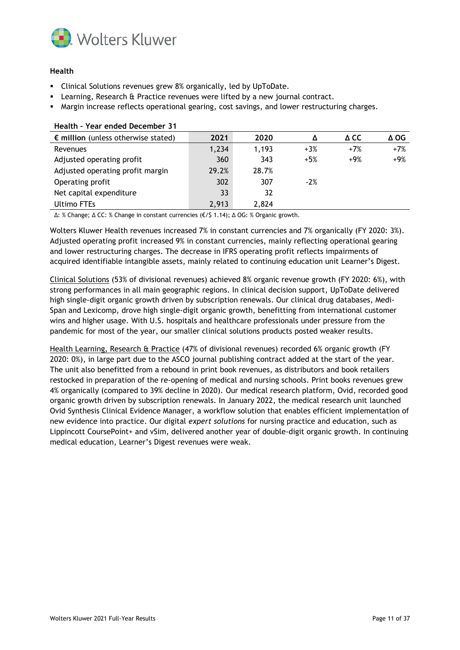

## **Health**

- Clinical Solutions revenues grew 8% organically, led by UpToDate.
- **EXECT** Learning, Research & Practice revenues were lifted by a new journal contract.
- Margin increase reflects operational gearing, cost savings, and lower restructuring charges.

| 2021  | 2020  | Δ     | Δ CC  | Δ OG  |
|-------|-------|-------|-------|-------|
| 1,234 | 1,193 | $+3%$ | $+7%$ | $+7%$ |
| 360   | 343   | $+5%$ | $+9%$ | $+9%$ |
| 29.2% | 28.7% |       |       |       |
| 302   | 307   | $-2%$ |       |       |
| 33    | 32    |       |       |       |
| 2,913 | 2,824 |       |       |       |
|       |       |       |       |       |

### **Health – Year ended December 31**

∆: % Change; ∆ CC: % Change in constant currencies (€/\$ 1.14); ∆ OG: % Organic growth.

Wolters Kluwer Health revenues increased 7% in constant currencies and 7% organically (FY 2020: 3%). Adjusted operating profit increased 9% in constant currencies, mainly reflecting operational gearing and lower restructuring charges. The decrease in IFRS operating profit reflects impairments of acquired identifiable intangible assets, mainly related to continuing education unit Learner's Digest.

Clinical Solutions (53% of divisional revenues) achieved 8% organic revenue growth (FY 2020: 6%), with strong performances in all main geographic regions. In clinical decision support, UpToDate delivered high single-digit organic growth driven by subscription renewals. Our clinical drug databases, Medi-Span and Lexicomp, drove high single-digit organic growth, benefitting from international customer wins and higher usage. With U.S. hospitals and healthcare professionals under pressure from the pandemic for most of the year, our smaller clinical solutions products posted weaker results.

Health Learning, Research & Practice (47% of divisional revenues) recorded 6% organic growth (FY 2020: 0%), in large part due to the ASCO journal publishing contract added at the start of the year. The unit also benefitted from a rebound in print book revenues, as distributors and book retailers restocked in preparation of the re-opening of medical and nursing schools. Print books revenues grew 4% organically (compared to 39% decline in 2020). Our medical research platform, Ovid, recorded good organic growth driven by subscription renewals. In January 2022, the medical research unit launched Ovid Synthesis Clinical Evidence Manager, a workflow solution that enables efficient implementation of new evidence into practice. Our digital *expert solutions* for nursing practice and education, such as Lippincott CoursePoint+ and vSim, delivered another year of double-digit organic growth. In continuing medical education, Learner's Digest revenues were weak.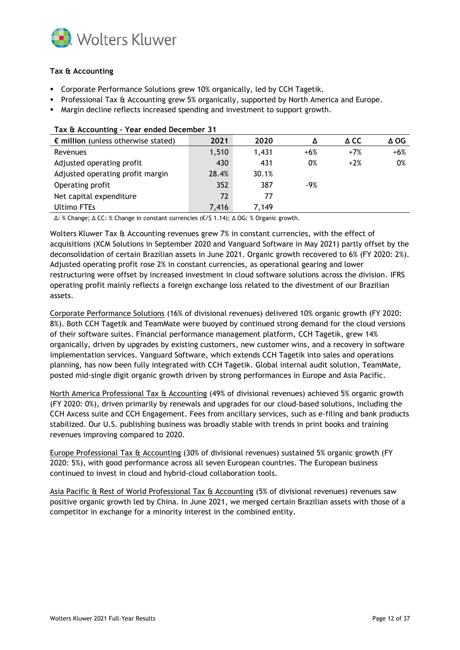

# **Tax & Accounting**

- **•** Corporate Performance Solutions grew 10% organically, led by CCH Tagetik.
- **•** Professional Tax & Accounting grew 5% organically, supported by North America and Europe.
- Margin decline reflects increased spending and investment to support growth.

| $\epsilon$ million (unless otherwise stated) | 2021  | 2020  |       | Δ CC  | Δ OG  |  |  |
|----------------------------------------------|-------|-------|-------|-------|-------|--|--|
| Revenues                                     | 1,510 | 1,431 | $+6%$ | $+7%$ | $+6%$ |  |  |
| Adjusted operating profit                    | 430   | 431   | 0%    | $+2%$ | 0%    |  |  |
| Adjusted operating profit margin             | 28.4% | 30.1% |       |       |       |  |  |
| Operating profit                             | 352   | 387   | $-9%$ |       |       |  |  |
| Net capital expenditure                      | 72    | 77    |       |       |       |  |  |
| <b>Ultimo FTEs</b>                           | 7,416 | 7.149 |       |       |       |  |  |

#### **Tax & Accounting – Year ended December 31**

∆: % Change; ∆ CC: % Change in constant currencies (€/\$ 1.14); ∆ OG: % Organic growth.

Wolters Kluwer Tax & Accounting revenues grew 7% in constant currencies, with the effect of acquisitions (XCM Solutions in September 2020 and Vanguard Software in May 2021) partly offset by the deconsolidation of certain Brazilian assets in June 2021. Organic growth recovered to 6% (FY 2020: 2%). Adjusted operating profit rose 2% in constant currencies, as operational gearing and lower restructuring were offset by increased investment in cloud software solutions across the division. IFRS operating profit mainly reflects a foreign exchange loss related to the divestment of our Brazilian assets.

Corporate Performance Solutions (16% of divisional revenues) delivered 10% organic growth (FY 2020: 8%). Both CCH Tagetik and TeamMate were buoyed by continued strong demand for the cloud versions of their software suites. Financial performance management platform, CCH Tagetik, grew 14% organically, driven by upgrades by existing customers, new customer wins, and a recovery in software implementation services. Vanguard Software, which extends CCH Tagetik into sales and operations planning, has now been fully integrated with CCH Tagetik. Global internal audit solution, TeamMate, posted mid-single digit organic growth driven by strong performances in Europe and Asia Pacific.

North America Professional Tax & Accounting (49% of divisional revenues) achieved 5% organic growth (FY 2020: 0%), driven primarily by renewals and upgrades for our cloud-based solutions, including the CCH Axcess suite and CCH Engagement. Fees from ancillary services, such as e-filing and bank products stabilized. Our U.S. publishing business was broadly stable with trends in print books and training revenues improving compared to 2020.

Europe Professional Tax & Accounting (30% of divisional revenues) sustained 5% organic growth (FY 2020: 5%), with good performance across all seven European countries. The European business continued to invest in cloud and hybrid-cloud collaboration tools.

Asia Pacific & Rest of World Professional Tax & Accounting (5% of divisional revenues) revenues saw positive organic growth led by China. In June 2021, we merged certain Brazilian assets with those of a competitor in exchange for a minority interest in the combined entity.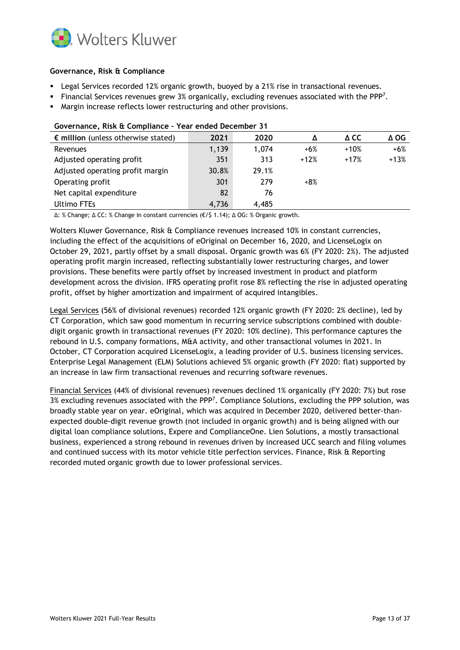

## **Governance, Risk & Compliance**

- **EXECT Legal Services recorded 12% organic growth, buoyed by a 21% rise in transactional revenues.**
- **Financial Services revenues grew 3% organically, excluding revenues associated with the PPP<sup>7</sup>.**
- Margin increase reflects lower restructuring and other provisions.

| $\epsilon$ million (unless otherwise stated) | 2021  | 2020  | Δ      | Δ CC   | $\Delta$ OG |  |  |  |
|----------------------------------------------|-------|-------|--------|--------|-------------|--|--|--|
| Revenues                                     | 1,139 | 1,074 | $+6%$  | $+10%$ | $+6%$       |  |  |  |
| Adjusted operating profit                    | 351   | 313   | $+12%$ | $+17%$ | $+13%$      |  |  |  |
| Adjusted operating profit margin             | 30.8% | 29.1% |        |        |             |  |  |  |
| Operating profit                             | 301   | 279   | $+8%$  |        |             |  |  |  |
| Net capital expenditure                      | 82    | 76    |        |        |             |  |  |  |
| Ultimo FTEs                                  | 4,736 | 4.485 |        |        |             |  |  |  |



∆: % Change; ∆ CC: % Change in constant currencies (€/\$ 1.14); ∆ OG: % Organic growth.

Wolters Kluwer Governance, Risk & Compliance revenues increased 10% in constant currencies, including the effect of the acquisitions of eOriginal on December 16, 2020, and LicenseLogix on October 29, 2021, partly offset by a small disposal. Organic growth was 6% (FY 2020: 2%). The adjusted operating profit margin increased, reflecting substantially lower restructuring charges, and lower provisions. These benefits were partly offset by increased investment in product and platform development across the division. IFRS operating profit rose 8% reflecting the rise in adjusted operating profit, offset by higher amortization and impairment of acquired intangibles.

Legal Services (56% of divisional revenues) recorded 12% organic growth (FY 2020: 2% decline), led by CT Corporation, which saw good momentum in recurring service subscriptions combined with doubledigit organic growth in transactional revenues (FY 2020: 10% decline). This performance captures the rebound in U.S. company formations, M&A activity, and other transactional volumes in 2021. In October, CT Corporation acquired LicenseLogix, a leading provider of U.S. business licensing services. Enterprise Legal Management (ELM) Solutions achieved 5% organic growth (FY 2020: flat) supported by an increase in law firm transactional revenues and recurring software revenues.

Financial Services (44% of divisional revenues) revenues declined 1% organically (FY 2020: 7%) but rose  $3\%$  excluding revenues associated with the PPP<sup>7</sup>. Compliance Solutions, excluding the PPP solution, was broadly stable year on year. eOriginal, which was acquired in December 2020, delivered better-thanexpected double-digit revenue growth (not included in organic growth) and is being aligned with our digital loan compliance solutions, Expere and ComplianceOne. Lien Solutions, a mostly transactional business, experienced a strong rebound in revenues driven by increased UCC search and filing volumes and continued success with its motor vehicle title perfection services. Finance, Risk & Reporting recorded muted organic growth due to lower professional services.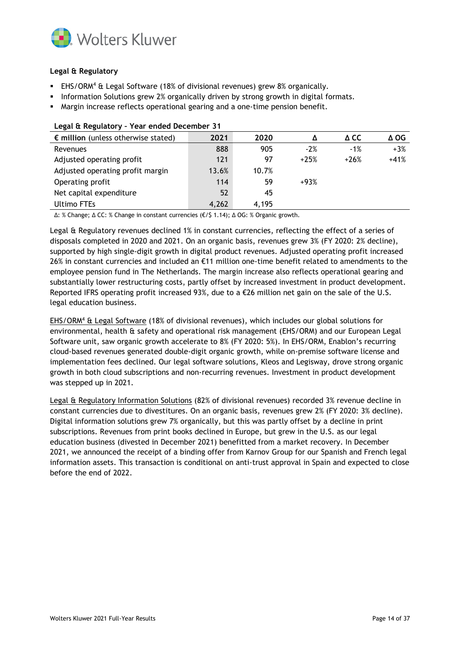

# **Legal & Regulatory**

- EHS/ORM<sup>4</sup> & Legal Software (18% of divisional revenues) grew 8% organically.
- **•** Information Solutions grew 2% organically driven by strong growth in digital formats.
- Margin increase reflects operational gearing and a one-time pension benefit.

| Ecgar a Regulatory - rear criaca beceniber 5 r |       |       |        |        |        |
|------------------------------------------------|-------|-------|--------|--------|--------|
| $\epsilon$ million (unless otherwise stated)   | 2021  | 2020  |        | A CC   | ∆ OG   |
| Revenues                                       | 888   | 905   | $-2%$  | $-1%$  | $+3%$  |
| Adjusted operating profit                      | 121   | 97    | $+25%$ | $+26%$ | $+41%$ |
| Adjusted operating profit margin               | 13.6% | 10.7% |        |        |        |
| Operating profit                               | 114   | 59    | $+93%$ |        |        |
| Net capital expenditure                        | 52    | 45    |        |        |        |
| <b>Ultimo FTEs</b>                             | 4,262 | 4,195 |        |        |        |

#### **Legal & Regulatory – Year ended December 31**

∆: % Change; ∆ CC: % Change in constant currencies (€/\$ 1.14); ∆ OG: % Organic growth.

Legal & Regulatory revenues declined 1% in constant currencies, reflecting the effect of a series of disposals completed in 2020 and 2021. On an organic basis, revenues grew 3% (FY 2020: 2% decline), supported by high single-digit growth in digital product revenues. Adjusted operating profit increased 26% in constant currencies and included an €11 million one-time benefit related to amendments to the employee pension fund in The Netherlands. The margin increase also reflects operational gearing and substantially lower restructuring costs, partly offset by increased investment in product development. Reported IFRS operating profit increased 93%, due to a €26 million net gain on the sale of the U.S. legal education business.

EHS/ORM<sup>4</sup> & Legal Software (18% of divisional revenues), which includes our global solutions for environmental, health & safety and operational risk management (EHS/ORM) and our European Legal Software unit, saw organic growth accelerate to 8% (FY 2020: 5%). In EHS/ORM, Enablon's recurring cloud-based revenues generated double-digit organic growth, while on-premise software license and implementation fees declined. Our legal software solutions, Kleos and Legisway, drove strong organic growth in both cloud subscriptions and non-recurring revenues. Investment in product development was stepped up in 2021.

Legal & Regulatory Information Solutions (82% of divisional revenues) recorded 3% revenue decline in constant currencies due to divestitures. On an organic basis, revenues grew 2% (FY 2020: 3% decline). Digital information solutions grew 7% organically, but this was partly offset by a decline in print subscriptions. Revenues from print books declined in Europe, but grew in the U.S. as our legal education business (divested in December 2021) benefitted from a market recovery. In December 2021, we announced the receipt of a binding offer from Karnov Group for our Spanish and French legal information assets. This transaction is conditional on anti-trust approval in Spain and expected to close before the end of 2022.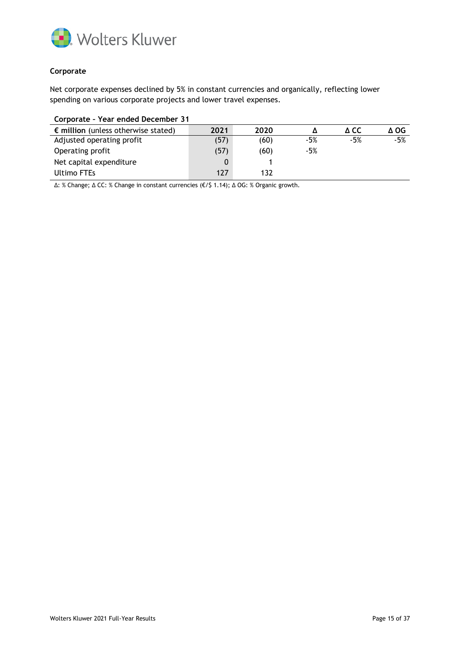

## **Corporate**

Net corporate expenses declined by 5% in constant currencies and organically, reflecting lower spending on various corporate projects and lower travel expenses.

| Corporate - Year ended December 31           |      |      |       |       |       |
|----------------------------------------------|------|------|-------|-------|-------|
| $\epsilon$ million (unless otherwise stated) | 2021 | 2020 |       | A CC  | ΔOG   |
| Adjusted operating profit                    | (57) | (60) | $-5%$ | $-5%$ | $-5%$ |
| Operating profit                             | (57) | (60) | -5%   |       |       |
| Net capital expenditure                      | 0    |      |       |       |       |
| Ultimo FTEs                                  | 127  | 132  |       |       |       |

∆: % Change; ∆ CC: % Change in constant currencies (€/\$ 1.14); ∆ OG: % Organic growth.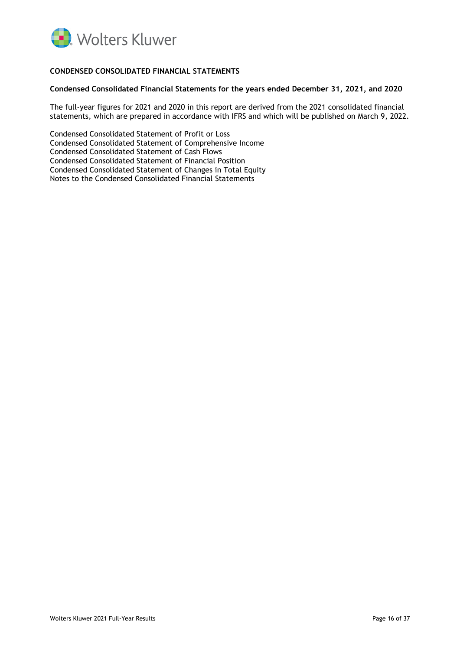

# **CONDENSED CONSOLIDATED FINANCIAL STATEMENTS**

#### **Condensed Consolidated Financial Statements for the years ended December 31, 2021, and 2020**

The full-year figures for 2021 and 2020 in this report are derived from the 2021 consolidated financial statements, which are prepared in accordance with IFRS and which will be published on March 9, 2022.

Condensed Consolidated Statement of Profit or Loss Condensed Consolidated Statement of Comprehensive Income Condensed Consolidated Statement of Cash Flows Condensed Consolidated Statement of Financial Position Condensed Consolidated Statement of Changes in Total Equity Notes to the Condensed Consolidated Financial Statements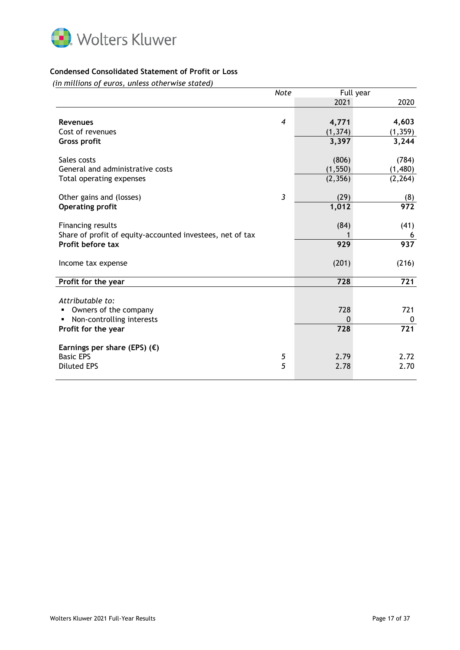

## **Condensed Consolidated Statement of Profit or Loss**

*(in millions of euros, unless otherwise stated)*

|                                                           | <b>Note</b>    |          | Full year        |
|-----------------------------------------------------------|----------------|----------|------------------|
|                                                           |                | 2021     | 2020             |
|                                                           |                |          |                  |
| <b>Revenues</b>                                           | $\overline{4}$ | 4,771    | 4,603            |
| Cost of revenues                                          |                | (1, 374) | (1, 359)         |
| <b>Gross profit</b>                                       |                | 3,397    | 3,244            |
|                                                           |                |          |                  |
| Sales costs                                               |                | (806)    | (784)            |
| General and administrative costs                          |                | (1, 550) | (1,480)          |
| Total operating expenses                                  |                | (2, 356) | (2, 264)         |
|                                                           |                |          |                  |
| Other gains and (losses)                                  | 3              | (29)     | (8)              |
| <b>Operating profit</b>                                   |                | 1,012    | $\overline{972}$ |
| <b>Financing results</b>                                  |                | (84)     | (41)             |
| Share of profit of equity-accounted investees, net of tax |                |          |                  |
| Profit before tax                                         |                | 929      | 6<br>937         |
|                                                           |                |          |                  |
| Income tax expense                                        |                | (201)    | (216)            |
|                                                           |                |          |                  |
| Profit for the year                                       |                | 728      | 721              |
|                                                           |                |          |                  |
| Attributable to:                                          |                |          |                  |
| Owners of the company                                     |                | 728      | 721              |
| Non-controlling interests                                 |                | 0        | 0                |
| Profit for the year                                       |                | 728      | 721              |
|                                                           |                |          |                  |
| Earnings per share (EPS) $(E)$                            |                |          |                  |
| <b>Basic EPS</b>                                          | 5              | 2.79     | 2.72             |
| <b>Diluted EPS</b>                                        | 5              | 2.78     | 2.70             |
|                                                           |                |          |                  |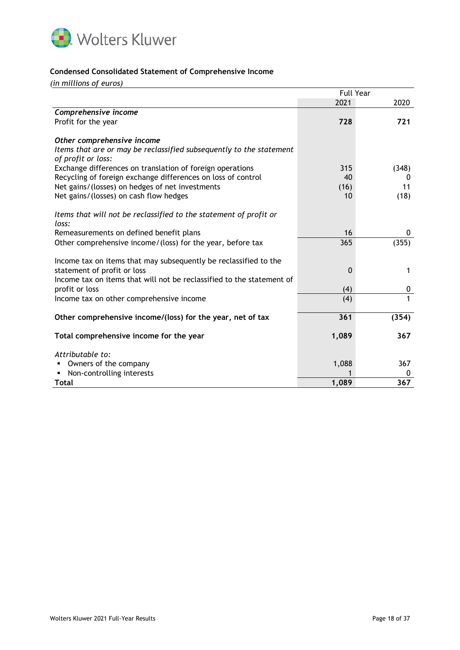

### **Condensed Consolidated Statement of Comprehensive Income**

*(in millions of euros)*

|                                                                       | <b>Full Year</b> |       |  |
|-----------------------------------------------------------------------|------------------|-------|--|
|                                                                       | 2021             | 2020  |  |
| Comprehensive income                                                  |                  |       |  |
| Profit for the year                                                   | 728              | 721   |  |
|                                                                       |                  |       |  |
| Other comprehensive income                                            |                  |       |  |
| Items that are or may be reclassified subsequently to the statement   |                  |       |  |
| of profit or loss:                                                    |                  |       |  |
| Exchange differences on translation of foreign operations             | 315              | (348) |  |
| Recycling of foreign exchange differences on loss of control          | 40               | 0     |  |
| Net gains/(losses) on hedges of net investments                       | (16)             | 11    |  |
| Net gains/(losses) on cash flow hedges                                | 10               | (18)  |  |
|                                                                       |                  |       |  |
| Items that will not be reclassified to the statement of profit or     |                  |       |  |
| loss:                                                                 |                  |       |  |
| Remeasurements on defined benefit plans                               | 16               | 0     |  |
| Other comprehensive income/(loss) for the year, before tax            | 365              | (355) |  |
|                                                                       |                  |       |  |
| Income tax on items that may subsequently be reclassified to the      |                  |       |  |
| statement of profit or loss                                           | $\mathbf{0}$     | 1     |  |
| Income tax on items that will not be reclassified to the statement of |                  |       |  |
| profit or loss                                                        | (4)              | 0     |  |
| Income tax on other comprehensive income                              | (4)              | 1     |  |
|                                                                       |                  |       |  |
| Other comprehensive income/(loss) for the year, net of tax            | 361              | (354) |  |
| Total comprehensive income for the year                               | 1,089            | 367   |  |
|                                                                       |                  |       |  |
| Attributable to:                                                      |                  |       |  |
| Owners of the company                                                 | 1,088            | 367   |  |
| Non-controlling interests                                             |                  | 0     |  |
| Total                                                                 | 1,089            | 367   |  |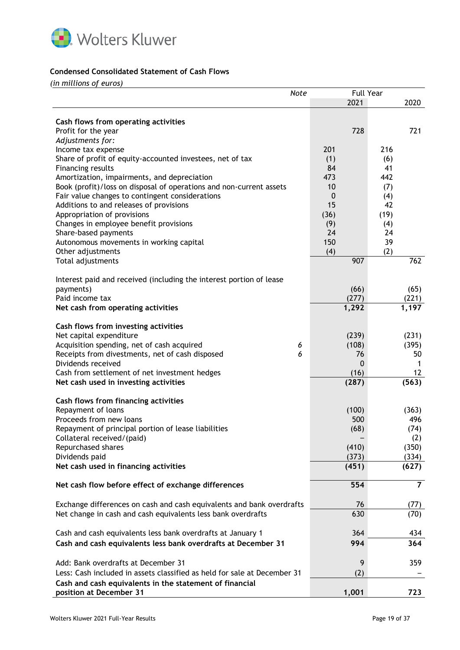

# **Condensed Consolidated Statement of Cash Flows**

*(in millions of euros)*

|                                                                                    | <b>Note</b> |       | <b>Full Year</b> |      |                |
|------------------------------------------------------------------------------------|-------------|-------|------------------|------|----------------|
|                                                                                    |             | 2021  |                  |      | 2020           |
|                                                                                    |             |       |                  |      |                |
| Cash flows from operating activities                                               |             |       |                  |      |                |
| Profit for the year                                                                |             | 728   |                  |      | 721            |
| Adjustments for:                                                                   |             |       |                  |      |                |
| Income tax expense                                                                 |             | 201   |                  | 216  |                |
| Share of profit of equity-accounted investees, net of tax                          |             | (1)   |                  | (6)  |                |
| Financing results                                                                  |             | 84    |                  | 41   |                |
| Amortization, impairments, and depreciation                                        |             | 473   |                  | 442  |                |
| Book (profit)/loss on disposal of operations and non-current assets                |             | 10    |                  | (7)  |                |
| Fair value changes to contingent considerations                                    |             | 0     |                  | (4)  |                |
| Additions to and releases of provisions                                            |             | 15    |                  | 42   |                |
| Appropriation of provisions                                                        |             | (36)  |                  | (19) |                |
| Changes in employee benefit provisions                                             |             | (9)   |                  | (4)  |                |
| Share-based payments                                                               |             | 24    |                  | 24   |                |
| Autonomous movements in working capital                                            |             | 150   |                  | 39   |                |
| Other adjustments                                                                  |             | (4)   |                  | (2)  |                |
| Total adjustments                                                                  |             | 907   |                  |      | 762            |
|                                                                                    |             |       |                  |      |                |
| Interest paid and received (including the interest portion of lease                |             |       |                  |      |                |
| payments)                                                                          |             | (66)  |                  |      | (65)           |
| Paid income tax                                                                    |             | (277) |                  |      | (221)          |
| Net cash from operating activities                                                 |             | 1,292 |                  |      | 1,197          |
|                                                                                    |             |       |                  |      |                |
| Cash flows from investing activities                                               |             |       |                  |      |                |
| Net capital expenditure                                                            |             | (239) |                  |      | (231)          |
| Acquisition spending, net of cash acquired                                         | 6           | (108) |                  |      | (395)          |
| Receipts from divestments, net of cash disposed                                    | 6           |       | 76               |      | 50             |
| Dividends received                                                                 |             |       | 0                |      | 1              |
| Cash from settlement of net investment hedges                                      |             | (16)  |                  |      | 12             |
| Net cash used in investing activities                                              |             | (287) |                  |      | (563)          |
|                                                                                    |             |       |                  |      |                |
| Cash flows from financing activities                                               |             |       |                  |      |                |
| Repayment of loans                                                                 |             | (100) |                  |      | (363)          |
| Proceeds from new loans                                                            |             |       | 500              |      | 496            |
| Repayment of principal portion of lease liabilities                                |             | (68)  |                  |      | (74)           |
| Collateral received/(paid)                                                         |             |       |                  |      | (2)            |
| Repurchased shares                                                                 |             | (410) |                  |      | (350)          |
| Dividends paid                                                                     |             | (373) |                  |      | (334)          |
| Net cash used in financing activities                                              |             | (451) |                  |      | (627)          |
| Net cash flow before effect of exchange differences                                |             | 554   |                  |      | $\overline{7}$ |
|                                                                                    |             |       |                  |      |                |
| Exchange differences on cash and cash equivalents and bank overdrafts              |             |       | 76               |      | (77)           |
| Net change in cash and cash equivalents less bank overdrafts                       |             |       | 630              |      | (70)           |
|                                                                                    |             |       |                  |      |                |
| Cash and cash equivalents less bank overdrafts at January 1                        |             |       | 364              |      | 434            |
| Cash and cash equivalents less bank overdrafts at December 31                      |             | 994   |                  |      | 364            |
|                                                                                    |             |       |                  |      |                |
| Add: Bank overdrafts at December 31                                                |             |       | 9                |      | 359            |
| Less: Cash included in assets classified as held for sale at December 31           |             |       | (2)              |      |                |
|                                                                                    |             |       |                  |      |                |
| Cash and cash equivalents in the statement of financial<br>position at December 31 |             | 1,001 |                  |      | 723            |
|                                                                                    |             |       |                  |      |                |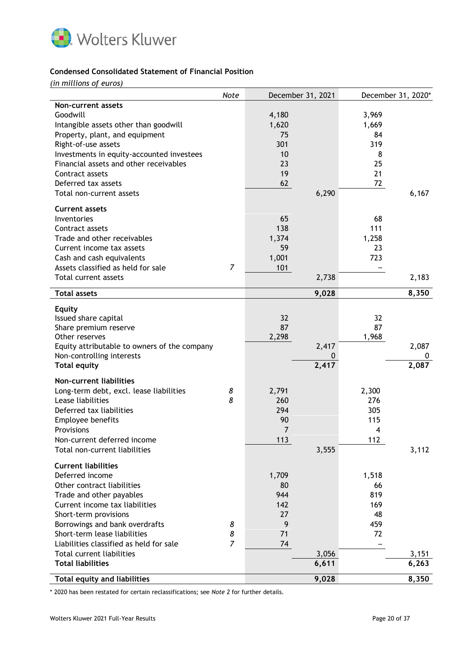

## **Condensed Consolidated Statement of Financial Position**

*(in millions of euros)*

|                                              | Note           |       | December 31, 2021 |       | December 31, 2020* |
|----------------------------------------------|----------------|-------|-------------------|-------|--------------------|
| Non-current assets                           |                |       |                   |       |                    |
| Goodwill                                     |                | 4,180 |                   | 3,969 |                    |
| Intangible assets other than goodwill        |                | 1,620 |                   | 1,669 |                    |
| Property, plant, and equipment               |                | 75    |                   | 84    |                    |
| Right-of-use assets                          |                | 301   |                   | 319   |                    |
| Investments in equity-accounted investees    |                | 10    |                   | 8     |                    |
| Financial assets and other receivables       |                | 23    |                   | 25    |                    |
| Contract assets                              |                | 19    |                   | 21    |                    |
| Deferred tax assets                          |                | 62    |                   | 72    |                    |
| Total non-current assets                     |                |       | 6,290             |       | 6,167              |
| <b>Current assets</b>                        |                |       |                   |       |                    |
| Inventories                                  |                | 65    |                   | 68    |                    |
| Contract assets                              |                | 138   |                   | 111   |                    |
| Trade and other receivables                  |                | 1,374 |                   | 1,258 |                    |
| Current income tax assets                    |                | 59    |                   | 23    |                    |
| Cash and cash equivalents                    |                | 1,001 |                   | 723   |                    |
| Assets classified as held for sale           | $\overline{7}$ | 101   |                   |       |                    |
| Total current assets                         |                |       | 2,738             |       | 2,183              |
| <b>Total assets</b>                          |                |       | 9,028             |       | 8,350              |
|                                              |                |       |                   |       |                    |
| <b>Equity</b>                                |                |       |                   |       |                    |
| Issued share capital                         |                | 32    |                   | 32    |                    |
| Share premium reserve                        |                | 87    |                   | 87    |                    |
| Other reserves                               |                | 2,298 |                   | 1,968 |                    |
| Equity attributable to owners of the company |                |       | 2,417             |       | 2,087              |
| Non-controlling interests                    |                |       | 0                 |       | 0                  |
| <b>Total equity</b>                          |                |       | 2,417             |       | 2,087              |
| <b>Non-current liabilities</b>               |                |       |                   |       |                    |
| Long-term debt, excl. lease liabilities      | 8              | 2,791 |                   | 2,300 |                    |
| Lease liabilities                            | 8              | 260   |                   | 276   |                    |
| Deferred tax liabilities                     |                | 294   |                   | 305   |                    |
| Employee benefits                            |                | 90    |                   | 115   |                    |
| Provisions                                   |                | 7     |                   | 4     |                    |
| Non-current deferred income                  |                | 113   |                   | 112   |                    |
| Total non-current liabilities                |                |       | 3,555             |       | 3,112              |
| <b>Current liabilities</b>                   |                |       |                   |       |                    |
| Deferred income                              |                | 1,709 |                   | 1,518 |                    |
| Other contract liabilities                   |                | 80    |                   | 66    |                    |
| Trade and other payables                     |                | 944   |                   | 819   |                    |
| Current income tax liabilities               |                | 142   |                   | 169   |                    |
| Short-term provisions                        |                | 27    |                   | 48    |                    |
| Borrowings and bank overdrafts               | 8              | 9     |                   | 459   |                    |
| Short-term lease liabilities                 | 8              | 71    |                   | 72    |                    |
| Liabilities classified as held for sale      | 7              | 74    |                   |       |                    |
| Total current liabilities                    |                |       | 3,056             |       | 3,151              |
| <b>Total liabilities</b>                     |                |       | 6,611             |       | 6,263              |
| <b>Total equity and liabilities</b>          |                |       | 9,028             |       | 8,350              |
|                                              |                |       |                   |       |                    |

\* 2020 has been restated for certain reclassifications; see *Note 2* for further details.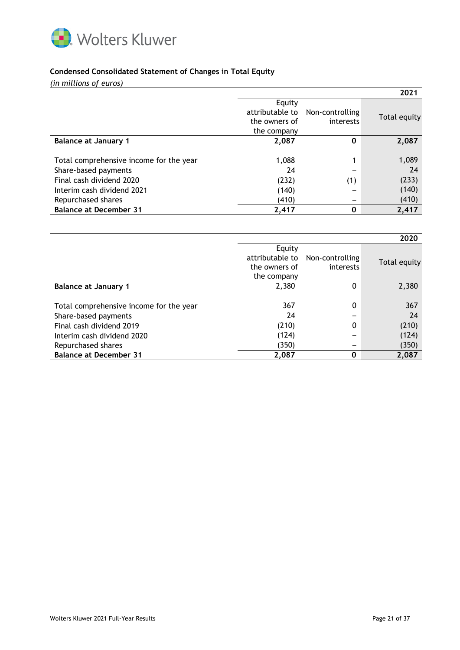

## **Condensed Consolidated Statement of Changes in Total Equity**

*(in millions of euros)*

|                                                                                                                                                 |                                                           |                              | 2021                                   |
|-------------------------------------------------------------------------------------------------------------------------------------------------|-----------------------------------------------------------|------------------------------|----------------------------------------|
|                                                                                                                                                 | Equity<br>attributable to<br>the owners of<br>the company | Non-controlling<br>interests | Total equity                           |
| <b>Balance at January 1</b>                                                                                                                     | 2,087                                                     | 0                            | 2,087                                  |
| Total comprehensive income for the year<br>Share-based payments<br>Final cash dividend 2020<br>Interim cash dividend 2021<br>Repurchased shares | 1,088<br>24<br>(232)<br>(140)<br>(410)                    | (1)                          | 1,089<br>24<br>(233)<br>(140)<br>(410) |
| <b>Balance at December 31</b>                                                                                                                   | 2,417                                                     | $\bf{0}$                     | 2,417                                  |

|                                                                 |                                                           |                              | 2020           |
|-----------------------------------------------------------------|-----------------------------------------------------------|------------------------------|----------------|
|                                                                 | Equity<br>attributable to<br>the owners of<br>the company | Non-controlling<br>interests | Total equity   |
| <b>Balance at January 1</b>                                     | 2,380                                                     | 0                            | 2,380          |
| Total comprehensive income for the year<br>Share-based payments | 367<br>24                                                 | $\Omega$                     | 367<br>24      |
| Final cash dividend 2019                                        | (210)                                                     | 0                            | (210)          |
| Interim cash dividend 2020<br>Repurchased shares                | (124)<br>(350)                                            |                              | (124)<br>(350) |
| <b>Balance at December 31</b>                                   | 2,087                                                     |                              | 2,087          |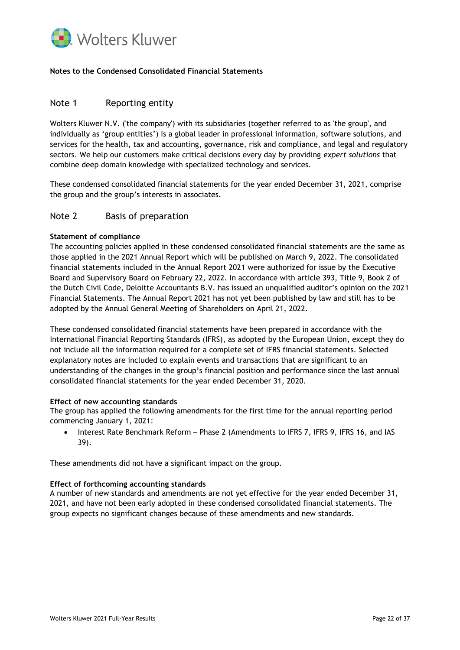

## **Notes to the Condensed Consolidated Financial Statements**

# Note 1 Reporting entity

Wolters Kluwer N.V. ('the company') with its subsidiaries (together referred to as 'the group', and individually as 'group entities') is a global leader in professional information, software solutions, and services for the health, tax and accounting, governance, risk and compliance, and legal and regulatory sectors. We help our customers make critical decisions every day by providing *expert solutions* that combine deep domain knowledge with specialized technology and services.

These condensed consolidated financial statements for the year ended December 31, 2021, comprise the group and the group's interests in associates.

## Note 2 Basis of preparation

### **Statement of compliance**

The accounting policies applied in these condensed consolidated financial statements are the same as those applied in the 2021 Annual Report which will be published on March 9, 2022. The consolidated financial statements included in the Annual Report 2021 were authorized for issue by the Executive Board and Supervisory Board on February 22, 2022. In accordance with article 393, Title 9, Book 2 of the Dutch Civil Code, Deloitte Accountants B.V. has issued an unqualified auditor's opinion on the 2021 Financial Statements. The Annual Report 2021 has not yet been published by law and still has to be adopted by the Annual General Meeting of Shareholders on April 21, 2022.

These condensed consolidated financial statements have been prepared in accordance with the International Financial Reporting Standards (IFRS), as adopted by the European Union, except they do not include all the information required for a complete set of IFRS financial statements. Selected explanatory notes are included to explain events and transactions that are significant to an understanding of the changes in the group's financial position and performance since the last annual consolidated financial statements for the year ended December 31, 2020.

#### **Effect of new accounting standards**

The group has applied the following amendments for the first time for the annual reporting period commencing January 1, 2021:

• Interest Rate Benchmark Reform – Phase 2 (Amendments to IFRS 7, IFRS 9, IFRS 16, and IAS 39).

These amendments did not have a significant impact on the group.

#### **Effect of forthcoming accounting standards**

A number of new standards and amendments are not yet effective for the year ended December 31, 2021, and have not been early adopted in these condensed consolidated financial statements. The group expects no significant changes because of these amendments and new standards.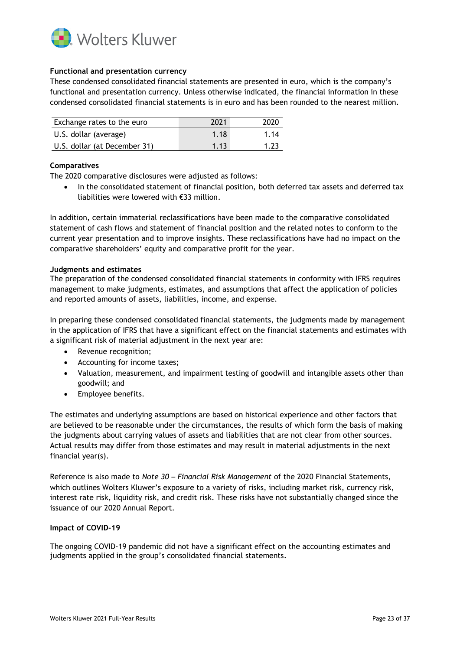

## **Functional and presentation currency**

These condensed consolidated financial statements are presented in euro, which is the company's functional and presentation currency. Unless otherwise indicated, the financial information in these condensed consolidated financial statements is in euro and has been rounded to the nearest million.

| Exchange rates to the euro   | 2021 | 2020 |
|------------------------------|------|------|
| U.S. dollar (average)        | 1.18 | 1.14 |
| U.S. dollar (at December 31) | 1.13 | 1.23 |

### **Comparatives**

The 2020 comparative disclosures were adjusted as follows:

• In the consolidated statement of financial position, both deferred tax assets and deferred tax liabilities were lowered with €33 million.

In addition, certain immaterial reclassifications have been made to the comparative consolidated statement of cash flows and statement of financial position and the related notes to conform to the current year presentation and to improve insights. These reclassifications have had no impact on the comparative shareholders' equity and comparative profit for the year.

#### **Judgments and estimates**

The preparation of the condensed consolidated financial statements in conformity with IFRS requires management to make judgments, estimates, and assumptions that affect the application of policies and reported amounts of assets, liabilities, income, and expense.

In preparing these condensed consolidated financial statements, the judgments made by management in the application of IFRS that have a significant effect on the financial statements and estimates with a significant risk of material adjustment in the next year are:

- Revenue recognition;
- Accounting for income taxes;
- Valuation, measurement, and impairment testing of goodwill and intangible assets other than goodwill; and
- Employee benefits.

The estimates and underlying assumptions are based on historical experience and other factors that are believed to be reasonable under the circumstances, the results of which form the basis of making the judgments about carrying values of assets and liabilities that are not clear from other sources. Actual results may differ from those estimates and may result in material adjustments in the next financial year(s).

Reference is also made to *Note 30 – Financial Risk Management* of the 2020 Financial Statements, which outlines Wolters Kluwer's exposure to a variety of risks, including market risk, currency risk, interest rate risk, liquidity risk, and credit risk. These risks have not substantially changed since the issuance of our 2020 Annual Report.

#### **Impact of COVID-19**

The ongoing COVID-19 pandemic did not have a significant effect on the accounting estimates and judgments applied in the group's consolidated financial statements.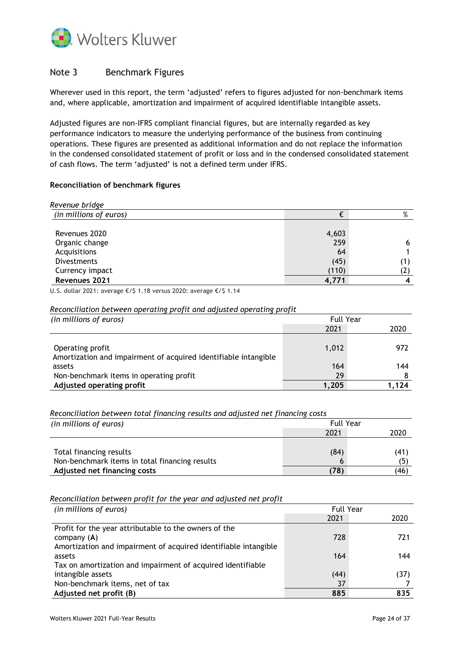

# Note 3 Benchmark Figures

Wherever used in this report, the term 'adjusted' refers to figures adjusted for non-benchmark items and, where applicable, amortization and impairment of acquired identifiable intangible assets.

Adjusted figures are non-IFRS compliant financial figures, but are internally regarded as key performance indicators to measure the underlying performance of the business from continuing operations. These figures are presented as additional information and do not replace the information in the condensed consolidated statement of profit or loss and in the condensed consolidated statement of cash flows. The term 'adjusted' is not a defined term under IFRS.

## **Reconciliation of benchmark figures**

| Revenue bridge         |       |   |
|------------------------|-------|---|
| (in millions of euros) |       | % |
|                        |       |   |
| Revenues 2020          | 4,603 |   |
| Organic change         | 259   |   |
| Acquisitions           | 64    |   |
| <b>Divestments</b>     | (45)  |   |
| Currency impact        | (110) |   |
| Revenues 2021          | 4.771 |   |

U.S. dollar 2021: average €/\$ 1.18 versus 2020: average €/\$ 1.14

### *Reconciliation between operating profit and adjusted operating profit*

| (in millions of euros)                                          | <b>Full Year</b> |      |
|-----------------------------------------------------------------|------------------|------|
|                                                                 | 2021             | 2020 |
|                                                                 |                  |      |
| Operating profit                                                | 1,012            | 972  |
| Amortization and impairment of acquired identifiable intangible |                  |      |
| assets                                                          | 164              | 144  |
| Non-benchmark items in operating profit                         | 29               |      |
| Adjusted operating profit                                       | 1.205            | .124 |

*Reconciliation between total financing results and adjusted net financing costs*

| (in millions of euros)                         | <b>Full Year</b> |      |
|------------------------------------------------|------------------|------|
|                                                | 2021             | 2020 |
|                                                |                  |      |
| Total financing results                        | (84)             | (41, |
| Non-benchmark items in total financing results | b                |      |
| Adjusted net financing costs                   | (78)             | (46) |

### *Reconciliation between profit for the year and adjusted net profit*

| (in millions of euros)                                          | <b>Full Year</b> |      |
|-----------------------------------------------------------------|------------------|------|
|                                                                 | 2021             | 2020 |
| Profit for the year attributable to the owners of the           |                  |      |
| company $(A)$                                                   | 728              | 721  |
| Amortization and impairment of acquired identifiable intangible |                  |      |
| assets                                                          | 164              | 144  |
| Tax on amortization and impairment of acquired identifiable     |                  |      |
| intangible assets                                               | (44)             | (37) |
| Non-benchmark items, net of tax                                 | 37               |      |
| Adjusted net profit (B)                                         | 885              | 835  |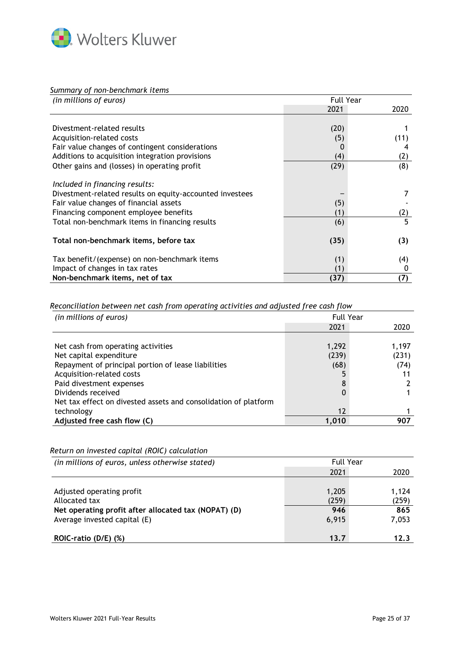

*Summary of non-benchmark items* 

| (in millions of euros)                                   | <b>Full Year</b> |      |
|----------------------------------------------------------|------------------|------|
|                                                          | 2021             | 2020 |
|                                                          |                  |      |
| Divestment-related results                               | (20)             |      |
| Acquisition-related costs                                | (5)              | (11) |
| Fair value changes of contingent considerations          | 0                |      |
| Additions to acquisition integration provisions          | (4)              | (2)  |
| Other gains and (losses) in operating profit             | (29)             | (8)  |
| Included in financing results:                           |                  |      |
| Divestment-related results on equity-accounted investees |                  |      |
| Fair value changes of financial assets                   | (5)              |      |
| Financing component employee benefits                    | (1)              | (2)  |
| Total non-benchmark items in financing results           | (6)              | 5    |
| Total non-benchmark items, before tax                    | (35)             | (3)  |
| Tax benefit/(expense) on non-benchmark items             | (1)              | (4)  |
| Impact of changes in tax rates                           | (1)              | 0    |
| Non-benchmark items, net of tax                          | (37)             | (7)  |

*Reconciliation between net cash from operating activities and adjusted free cash flow*

| (in millions of euros)                                          | <b>Full Year</b>  |       |
|-----------------------------------------------------------------|-------------------|-------|
|                                                                 | 2021              | 2020  |
|                                                                 |                   |       |
| Net cash from operating activities                              | 1,292             | 1,197 |
| Net capital expenditure                                         | (239)             | (231) |
| Repayment of principal portion of lease liabilities             | (68)              | (74)  |
| Acquisition-related costs                                       |                   |       |
| Paid divestment expenses                                        | 8                 |       |
| Dividends received                                              | 0                 |       |
| Net tax effect on divested assets and consolidation of platform |                   |       |
| technology                                                      | $12 \overline{ }$ |       |
| Adjusted free cash flow (C)                                     | 1.010             | 907   |

*Return on invested capital (ROIC) calculation*

| (in millions of euros, unless otherwise stated)                                                                                    | <b>Full Year</b>               |                                |
|------------------------------------------------------------------------------------------------------------------------------------|--------------------------------|--------------------------------|
|                                                                                                                                    | 2021                           | 2020                           |
| Adjusted operating profit<br>Allocated tax<br>Net operating profit after allocated tax (NOPAT) (D)<br>Average invested capital (E) | 1,205<br>(259)<br>946<br>6,915 | 1.124<br>(259)<br>865<br>7,053 |
| $ROIC-ratio (D/E) (%)$                                                                                                             | 13.7                           | 12.3                           |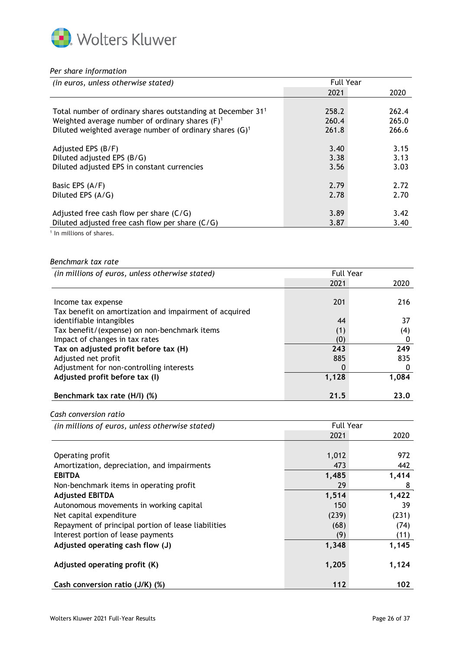

### *Per share information*

| (in euros, unless otherwise stated)                                     | <b>Full Year</b> |       |
|-------------------------------------------------------------------------|------------------|-------|
|                                                                         | 2021             | 2020  |
| Total number of ordinary shares outstanding at December 31 <sup>1</sup> | 258.2            | 262.4 |
| Weighted average number of ordinary shares $(F)^1$                      | 260.4            | 265.0 |
| Diluted weighted average number of ordinary shares (G) <sup>1</sup>     | 261.8            | 266.6 |
| Adjusted EPS (B/F)                                                      | 3.40             | 3.15  |
| Diluted adjusted EPS (B/G)                                              | 3.38             | 3.13  |
| Diluted adjusted EPS in constant currencies                             | 3.56             | 3.03  |
| Basic EPS (A/F)                                                         | 2.79             | 2.72  |
| Diluted EPS (A/G)                                                       | 2.78             | 2.70  |
| Adjusted free cash flow per share $(C/G)$                               | 3.89             | 3.42  |
| Diluted adjusted free cash flow per share (C/G)                         | 3.87             | 3.40  |

<sup>1</sup> In millions of shares.

### *Benchmark tax rate*

| (in millions of euros, unless otherwise stated)        | <b>Full Year</b> |       |
|--------------------------------------------------------|------------------|-------|
|                                                        | 2021             | 2020  |
|                                                        |                  |       |
| Income tax expense                                     | 201              | 216   |
| Tax benefit on amortization and impairment of acquired |                  |       |
| identifiable intangibles                               | 44               | 37    |
| Tax benefit/(expense) on non-benchmark items           | (1)              | (4)   |
| Impact of changes in tax rates                         | (0)              |       |
| Tax on adjusted profit before tax (H)                  | 243              | 249   |
| Adjusted net profit                                    | 885              | 835   |
| Adjustment for non-controlling interests               | 0                |       |
| Adjusted profit before tax (I)                         | 1,128            | 1,084 |
|                                                        |                  |       |
| Benchmark tax rate (H/I) (%)                           | 21.5             | 23.0  |

*Cash conversion ratio*

*<sup>(</sup>in millions of euros, unless otherwise stated)* Full Year

| $\mu$ , $\mu$ , $\mu$ , $\mu$ , $\sigma$ , $\sigma$ , $\sigma$ , $\sigma$ , $\sigma$ , $\sigma$ , $\sigma$ , $\sigma$ , $\sigma$ , $\sigma$ , $\sigma$ , $\sigma$ , $\sigma$ , $\sigma$ , $\sigma$ , $\sigma$ , $\sigma$ , $\sigma$ , $\sigma$ , $\sigma$ , $\sigma$ , $\sigma$ , $\sigma$ , $\sigma$ , $\sigma$ , $\sigma$ , $\sigma$ , $\sigma$ , $\sigma$ , $\sigma$ , $\sigma$ , $\sigma$ , $\sigma$ , | .     |       |
|------------------------------------------------------------------------------------------------------------------------------------------------------------------------------------------------------------------------------------------------------------------------------------------------------------------------------------------------------------------------------------------------------------|-------|-------|
|                                                                                                                                                                                                                                                                                                                                                                                                            | 2021  | 2020  |
|                                                                                                                                                                                                                                                                                                                                                                                                            |       |       |
| Operating profit                                                                                                                                                                                                                                                                                                                                                                                           | 1,012 | 972   |
| Amortization, depreciation, and impairments                                                                                                                                                                                                                                                                                                                                                                | 473   | 442   |
| <b>EBITDA</b>                                                                                                                                                                                                                                                                                                                                                                                              | 1,485 | 1,414 |
| Non-benchmark items in operating profit                                                                                                                                                                                                                                                                                                                                                                    | 29    | 8     |
| <b>Adjusted EBITDA</b>                                                                                                                                                                                                                                                                                                                                                                                     | 1,514 | 1,422 |
| Autonomous movements in working capital                                                                                                                                                                                                                                                                                                                                                                    | 150   | 39    |
| Net capital expenditure                                                                                                                                                                                                                                                                                                                                                                                    | (239) | (231) |
| Repayment of principal portion of lease liabilities                                                                                                                                                                                                                                                                                                                                                        | (68)  | (74)  |
| Interest portion of lease payments                                                                                                                                                                                                                                                                                                                                                                         | (9)   | (11)  |
| Adjusted operating cash flow (J)                                                                                                                                                                                                                                                                                                                                                                           | 1,348 | 1,145 |
| Adjusted operating profit (K)                                                                                                                                                                                                                                                                                                                                                                              | 1,205 | 1,124 |
| Cash conversion ratio (J/K) (%)                                                                                                                                                                                                                                                                                                                                                                            | 112   | 102   |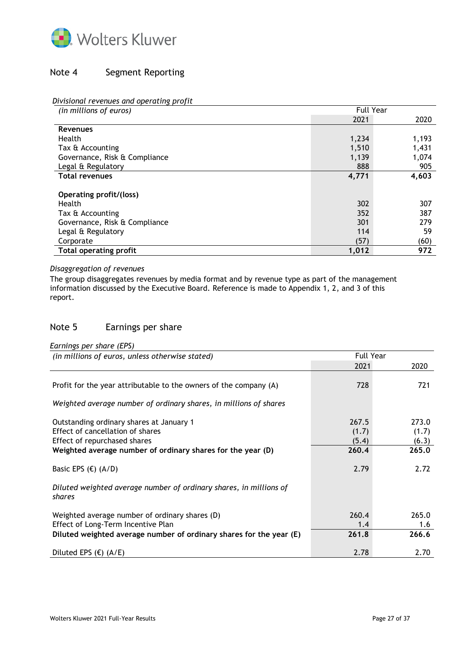

# Note 4 Segment Reporting

## *Divisional revenues and operating profit*

| (in millions of euros)        | <b>Full Year</b> |       |
|-------------------------------|------------------|-------|
|                               | 2021             | 2020  |
| <b>Revenues</b>               |                  |       |
| Health                        | 1,234            | 1,193 |
| Tax & Accounting              | 1,510            | 1,431 |
| Governance, Risk & Compliance | 1,139            | 1,074 |
| Legal & Regulatory            | 888              | 905   |
| <b>Total revenues</b>         | 4,771            | 4,603 |
|                               |                  |       |
| Operating profit/(loss)       |                  |       |
| Health                        | 302              | 307   |
| Tax & Accounting              | 352              | 387   |
| Governance, Risk & Compliance | 301              | 279   |
| Legal & Regulatory            | 114              | 59    |
| Corporate                     | (57)             | (60)  |
| Total operating profit        | 1,012            | 972   |

# *Disaggregation of revenues*

The group disaggregates revenues by media format and by revenue type as part of the management information discussed by the Executive Board. Reference is made to Appendix 1, 2, and 3 of this report.

# Note 5 Earnings per share

| Earnings per share (EPS) |  |
|--------------------------|--|

| (in millions of euros, unless otherwise stated)                                                                                                                             | <b>Full Year</b>                 |                                  |
|-----------------------------------------------------------------------------------------------------------------------------------------------------------------------------|----------------------------------|----------------------------------|
|                                                                                                                                                                             | 2021                             | 2020                             |
| Profit for the year attributable to the owners of the company (A)                                                                                                           | 728                              | 721                              |
| Weighted average number of ordinary shares, in millions of shares                                                                                                           |                                  |                                  |
| Outstanding ordinary shares at January 1<br>Effect of cancellation of shares<br>Effect of repurchased shares<br>Weighted average number of ordinary shares for the year (D) | 267.5<br>(1.7)<br>(5.4)<br>260.4 | 273.0<br>(1.7)<br>(6.3)<br>265.0 |
| Basic EPS $(€)$ $(A/D)$                                                                                                                                                     | 2.79                             | 2.72                             |
| Diluted weighted average number of ordinary shares, in millions of<br>shares                                                                                                |                                  |                                  |
| Weighted average number of ordinary shares (D)<br>Effect of Long-Term Incentive Plan<br>Diluted weighted average number of ordinary shares for the year (E)                 | 260.4<br>1.4<br>261.8            | 265.0<br>1.6<br>266.6            |
| Diluted EPS $(E)$ (A/E)                                                                                                                                                     | 2.78                             | 2.70                             |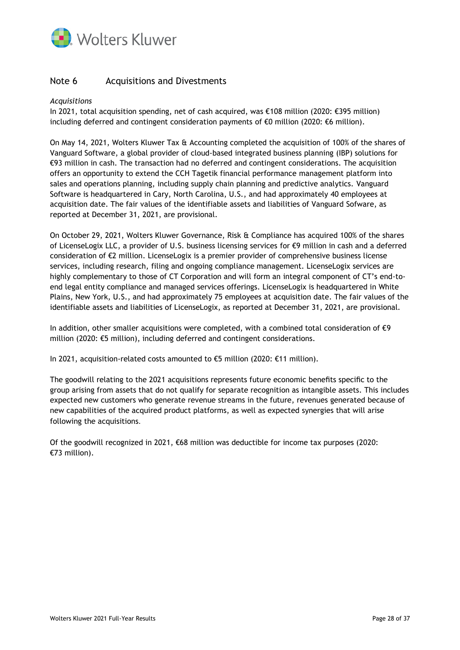

# Note 6 Acquisitions and Divestments

## *Acquisitions*

In 2021, total acquisition spending, net of cash acquired, was €108 million (2020: €395 million) including deferred and contingent consideration payments of €0 million (2020: €6 million).

On May 14, 2021, Wolters Kluwer Tax & Accounting completed the acquisition of 100% of the shares of Vanguard Software, a global provider of cloud-based integrated business planning (IBP) solutions for €93 million in cash. The transaction had no deferred and contingent considerations. The acquisition offers an opportunity to extend the CCH Tagetik financial performance management platform into sales and operations planning, including supply chain planning and predictive analytics. Vanguard Software is headquartered in Cary, North Carolina, U.S., and had approximately 40 employees at acquisition date. The fair values of the identifiable assets and liabilities of Vanguard Sofware, as reported at December 31, 2021, are provisional.

On October 29, 2021, Wolters Kluwer Governance, Risk & Compliance has acquired 100% of the shares of LicenseLogix LLC, a provider of U.S. business licensing services for €9 million in cash and a deferred consideration of €2 million. LicenseLogix is a premier provider of comprehensive business license services, including research, filing and ongoing compliance management. LicenseLogix services are highly complementary to those of CT Corporation and will form an integral component of CT's end-toend legal entity compliance and managed services offerings. LicenseLogix is headquartered in White Plains, New York, U.S., and had approximately 75 employees at acquisition date. The fair values of the identifiable assets and liabilities of LicenseLogix, as reported at December 31, 2021, are provisional.

In addition, other smaller acquisitions were completed, with a combined total consideration of  $\epsilon$ 9 million (2020: €5 million), including deferred and contingent considerations.

In 2021, acquisition-related costs amounted to €5 million (2020: €11 million).

The goodwill relating to the 2021 acquisitions represents future economic benefits specific to the group arising from assets that do not qualify for separate recognition as intangible assets. This includes expected new customers who generate revenue streams in the future, revenues generated because of new capabilities of the acquired product platforms, as well as expected synergies that will arise following the acquisitions.

Of the goodwill recognized in 2021, €68 million was deductible for income tax purposes (2020: €73 million).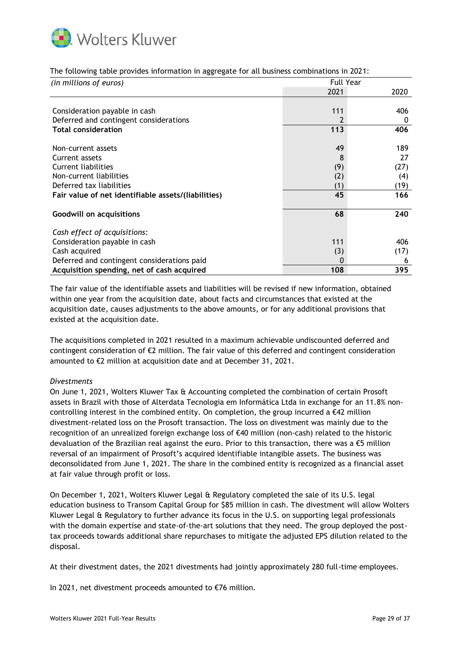

|  |  |  |  | The following table provides information in aggregate for all business combinations in 2021: |  |
|--|--|--|--|----------------------------------------------------------------------------------------------|--|
|  |  |  |  |                                                                                              |  |
|  |  |  |  |                                                                                              |  |
|  |  |  |  |                                                                                              |  |

| (in millions of euros)                              |      | <b>Full Year</b> |  |  |  |
|-----------------------------------------------------|------|------------------|--|--|--|
|                                                     | 2021 | 2020             |  |  |  |
|                                                     |      |                  |  |  |  |
| Consideration payable in cash                       | 111  | 406              |  |  |  |
| Deferred and contingent considerations              | 2    | 0                |  |  |  |
| <b>Total consideration</b>                          | 113  | 406              |  |  |  |
| Non-current assets                                  | 49   | 189              |  |  |  |
| Current assets                                      | 8    | 27               |  |  |  |
| Current liabilities                                 | (9)  | (27)             |  |  |  |
| Non-current liabilities                             | (2)  | (4)              |  |  |  |
| Deferred tax liabilities                            | (1)  | (19)             |  |  |  |
| Fair value of net identifiable assets/(liabilities) | 45   | 166              |  |  |  |
| <b>Goodwill on acquisitions</b>                     | 68   | 240              |  |  |  |
| Cash effect of acquisitions:                        |      |                  |  |  |  |
| Consideration payable in cash                       | 111  | 406              |  |  |  |
| Cash acquired                                       | (3)  | (17)             |  |  |  |
| Deferred and contingent considerations paid         | 0    | b                |  |  |  |
| Acquisition spending, net of cash acquired          | 108  | 395              |  |  |  |

The fair value of the identifiable assets and liabilities will be revised if new information, obtained within one year from the acquisition date, about facts and circumstances that existed at the acquisition date, causes adjustments to the above amounts, or for any additional provisions that existed at the acquisition date.

The acquisitions completed in 2021 resulted in a maximum achievable undiscounted deferred and contingent consideration of €2 million. The fair value of this deferred and contingent consideration amounted to €2 million at acquisition date and at December 31, 2021.

#### *Divestments*

On June 1, 2021, Wolters Kluwer Tax & Accounting completed the combination of certain Prosoft assets in Brazil with those of Alterdata Tecnologia em Informática Ltda in exchange for an 11.8% noncontrolling interest in the combined entity. On completion, the group incurred a  $\epsilon$ 42 million divestment-related loss on the Prosoft transaction. The loss on divestment was mainly due to the recognition of an unrealized foreign exchange loss of €40 million (non-cash) related to the historic devaluation of the Brazilian real against the euro. Prior to this transaction, there was a  $\epsilon$ 5 million reversal of an impairment of Prosoft's acquired identifiable intangible assets. The business was deconsolidated from June 1, 2021. The share in the combined entity is recognized as a financial asset at fair value through profit or loss.

On December 1, 2021, Wolters Kluwer Legal & Regulatory completed the sale of its U.S. legal education business to Transom Capital Group for \$85 million in cash. The divestment will allow Wolters Kluwer Legal & Regulatory to further advance its focus in the U.S. on supporting legal professionals with the domain expertise and state-of-the-art solutions that they need. The group deployed the posttax proceeds towards additional share repurchases to mitigate the adjusted EPS dilution related to the disposal.

At their divestment dates, the 2021 divestments had jointly approximately 280 full-time employees.

In 2021, net divestment proceeds amounted to €76 million.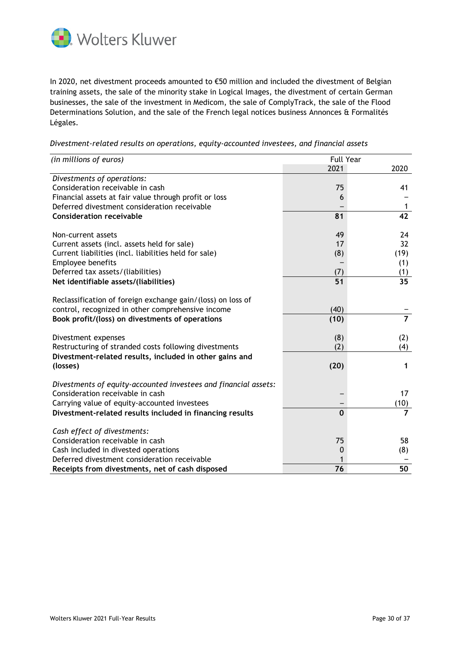

In 2020, net divestment proceeds amounted to €50 million and included the divestment of Belgian training assets, the sale of the minority stake in Logical Images, the divestment of certain German businesses, the sale of the investment in Medicom, the sale of ComplyTrack, the sale of the Flood Determinations Solution, and the sale of the French legal notices business Annonces & Formalités Légales.

| Divestment-related results on operations, equity-accounted investees, and financial assets |  |  |
|--------------------------------------------------------------------------------------------|--|--|
|                                                                                            |  |  |
|                                                                                            |  |  |

| (in millions of euros)                                                                                           | <b>Full Year</b> |                        |  |  |
|------------------------------------------------------------------------------------------------------------------|------------------|------------------------|--|--|
|                                                                                                                  | 2021             | 2020                   |  |  |
| Divestments of operations:<br>Consideration receivable in cash                                                   | 75               | 41                     |  |  |
| Financial assets at fair value through profit or loss<br>Deferred divestment consideration receivable            | 6                | $\mathbf{1}$           |  |  |
| <b>Consideration receivable</b>                                                                                  | 81               | 42                     |  |  |
| Non-current assets                                                                                               | 49               | 24                     |  |  |
| Current assets (incl. assets held for sale)                                                                      | 17               | 32                     |  |  |
| Current liabilities (incl. liabilities held for sale)                                                            | (8)              | (19)                   |  |  |
| Employee benefits                                                                                                |                  | (1)                    |  |  |
| Deferred tax assets/(liabilities)                                                                                | (7)              | (1)                    |  |  |
| Net identifiable assets/(liabilities)                                                                            | 51               | 35                     |  |  |
| Reclassification of foreign exchange gain/(loss) on loss of<br>control, recognized in other comprehensive income | (40)             |                        |  |  |
| Book profit/(loss) on divestments of operations                                                                  | (10)             | $\overline{7}$         |  |  |
| Divestment expenses                                                                                              | (8)              | (2)                    |  |  |
| Restructuring of stranded costs following divestments                                                            | (2)              | (4)                    |  |  |
| Divestment-related results, included in other gains and<br>(losses)                                              | (20)             | 1                      |  |  |
| Divestments of equity-accounted investees and financial assets:<br>Consideration receivable in cash              |                  | 17                     |  |  |
| Carrying value of equity-accounted investees                                                                     |                  |                        |  |  |
| Divestment-related results included in financing results                                                         | $\bf{0}$         | (10)<br>$\overline{7}$ |  |  |
|                                                                                                                  |                  |                        |  |  |
| Cash effect of divestments:<br>Consideration receivable in cash                                                  | 75               | 58                     |  |  |
| Cash included in divested operations                                                                             | 0                | (8)                    |  |  |
| Deferred divestment consideration receivable                                                                     |                  |                        |  |  |
| Receipts from divestments, net of cash disposed                                                                  | 76               | 50                     |  |  |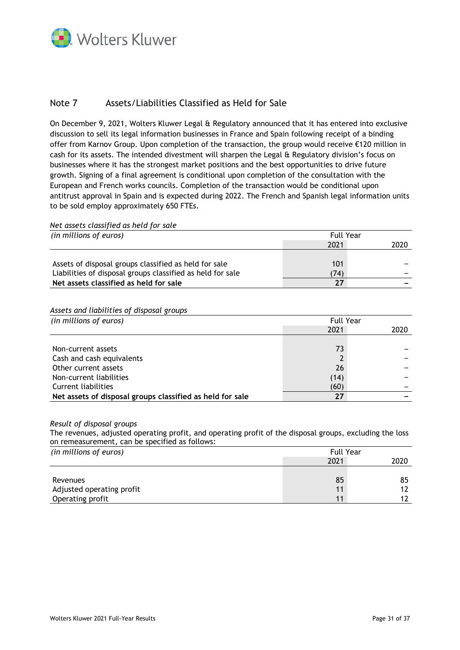

# Note 7 Assets/Liabilities Classified as Held for Sale

On December 9, 2021, Wolters Kluwer Legal & Regulatory announced that it has entered into exclusive discussion to sell its legal information businesses in France and Spain following receipt of a binding offer from Karnov Group. Upon completion of the transaction, the group would receive €120 million in cash for its assets. The intended divestment will sharpen the Legal & Regulatory division's focus on businesses where it has the strongest market positions and the best opportunities to drive future growth. Signing of a final agreement is conditional upon completion of the consultation with the European and French works councils. Completion of the transaction would be conditional upon antitrust approval in Spain and is expected during 2022. The French and Spanish legal information units to be sold employ approximately 650 FTEs.

```
Net assets classified as held for sale
```

| (in millions of euros)                                     | <b>Full Year</b> |      |
|------------------------------------------------------------|------------------|------|
|                                                            | 2021             | 2020 |
|                                                            |                  |      |
| Assets of disposal groups classified as held for sale      | 101              |      |
| Liabilities of disposal groups classified as held for sale | 74)              |      |
| Net assets classified as held for sale                     | 27               |      |

### *Assets and liabilities of disposal groups*

| (in millions of euros)                                    | <b>Full Year</b> |      |
|-----------------------------------------------------------|------------------|------|
|                                                           | 2021             | 2020 |
|                                                           |                  |      |
| Non-current assets                                        | 73               |      |
| Cash and cash equivalents                                 |                  |      |
| Other current assets                                      | 26               |      |
| Non-current liabilities                                   | (14)             |      |
| Current liabilities                                       | (60)             |      |
| Net assets of disposal groups classified as held for sale | 27               |      |

#### *Result of disposal groups*

The revenues, adjusted operating profit, and operating profit of the disposal groups, excluding the loss on remeasurement, can be specified as follows:

| (in millions of euros)    | <b>Full Year</b> |      |  |
|---------------------------|------------------|------|--|
|                           | 2021             | 2020 |  |
|                           |                  |      |  |
| Revenues                  | 85               | 85   |  |
| Adjusted operating profit | 11               | 12   |  |
| Operating profit          | 11               | 17   |  |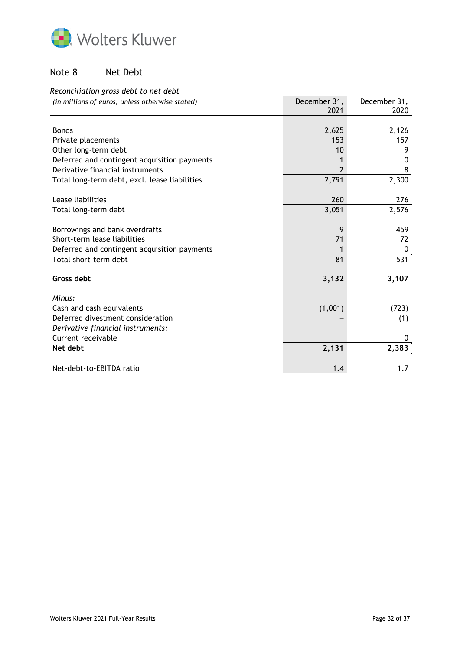

# Note 8 Net Debt

# *Reconciliation gross debt to net debt*

| (in millions of euros, unless otherwise stated) | December 31, | December 31, |
|-------------------------------------------------|--------------|--------------|
|                                                 | 2021         | 2020         |
|                                                 |              |              |
| <b>Bonds</b>                                    | 2,625        | 2,126        |
| Private placements                              | 153          | 157          |
| Other long-term debt                            | 10           | 9            |
| Deferred and contingent acquisition payments    | 1            | 0            |
| Derivative financial instruments                | 2            | 8            |
| Total long-term debt, excl. lease liabilities   | 2,791        | 2,300        |
|                                                 |              |              |
| Lease liabilities                               | 260          | 276          |
| Total long-term debt                            | 3,051        | 2,576        |
|                                                 |              |              |
| Borrowings and bank overdrafts                  | 9            | 459          |
| Short-term lease liabilities                    | 71           | 72           |
| Deferred and contingent acquisition payments    | 1            | 0            |
| Total short-term debt                           | 81           | 531          |
|                                                 |              |              |
| Gross debt                                      | 3,132        | 3,107        |
|                                                 |              |              |
| Minus:                                          |              |              |
| Cash and cash equivalents                       | (1,001)      | (723)        |
| Deferred divestment consideration               |              | (1)          |
| Derivative financial instruments:               |              |              |
| Current receivable                              |              | 0            |
| Net debt                                        | 2,131        | 2,383        |
|                                                 |              |              |
| Net-debt-to-EBITDA ratio                        | 1.4          | 1.7          |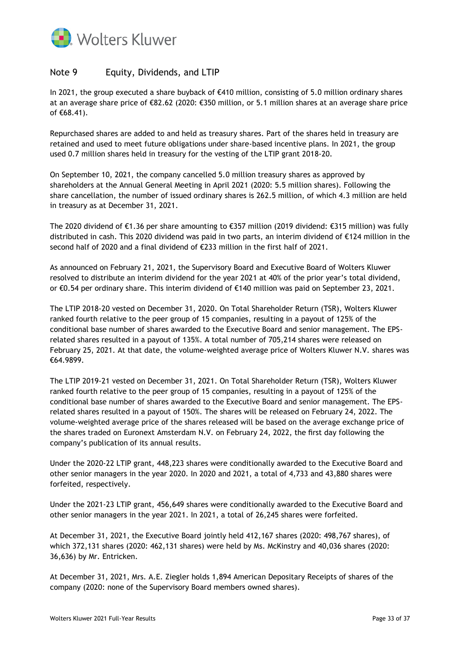

# Note 9 Equity, Dividends, and LTIP

In 2021, the group executed a share buyback of €410 million, consisting of 5.0 million ordinary shares at an average share price of €82.62 (2020: €350 million, or 5.1 million shares at an average share price of €68.41).

Repurchased shares are added to and held as treasury shares. Part of the shares held in treasury are retained and used to meet future obligations under share-based incentive plans. In 2021, the group used 0.7 million shares held in treasury for the vesting of the LTIP grant 2018-20.

On September 10, 2021, the company cancelled 5.0 million treasury shares as approved by shareholders at the Annual General Meeting in April 2021 (2020: 5.5 million shares). Following the share cancellation, the number of issued ordinary shares is 262.5 million, of which 4.3 million are held in treasury as at December 31, 2021.

The 2020 dividend of €1.36 per share amounting to €357 million (2019 dividend: €315 million) was fully distributed in cash. This 2020 dividend was paid in two parts, an interim dividend of €124 million in the second half of 2020 and a final dividend of €233 million in the first half of 2021.

As announced on February 21, 2021, the Supervisory Board and Executive Board of Wolters Kluwer resolved to distribute an interim dividend for the year 2021 at 40% of the prior year's total dividend, or €0.54 per ordinary share. This interim dividend of €140 million was paid on September 23, 2021.

The LTIP 2018-20 vested on December 31, 2020. On Total Shareholder Return (TSR), Wolters Kluwer ranked fourth relative to the peer group of 15 companies, resulting in a payout of 125% of the conditional base number of shares awarded to the Executive Board and senior management. The EPSrelated shares resulted in a payout of 135%. A total number of 705,214 shares were released on February 25, 2021. At that date, the volume-weighted average price of Wolters Kluwer N.V. shares was €64.9899.

The LTIP 2019-21 vested on December 31, 2021. On Total Shareholder Return (TSR), Wolters Kluwer ranked fourth relative to the peer group of 15 companies, resulting in a payout of 125% of the conditional base number of shares awarded to the Executive Board and senior management. The EPSrelated shares resulted in a payout of 150%. The shares will be released on February 24, 2022. The volume-weighted average price of the shares released will be based on the average exchange price of the shares traded on Euronext Amsterdam N.V. on February 24, 2022, the first day following the company's publication of its annual results.

Under the 2020-22 LTIP grant, 448,223 shares were conditionally awarded to the Executive Board and other senior managers in the year 2020. In 2020 and 2021, a total of 4,733 and 43,880 shares were forfeited, respectively.

Under the 2021-23 LTIP grant, 456,649 shares were conditionally awarded to the Executive Board and other senior managers in the year 2021. In 2021, a total of 26,245 shares were forfeited.

At December 31, 2021, the Executive Board jointly held 412,167 shares (2020: 498,767 shares), of which 372,131 shares (2020: 462,131 shares) were held by Ms. McKinstry and 40,036 shares (2020: 36,636) by Mr. Entricken.

At December 31, 2021, Mrs. A.E. Ziegler holds 1,894 American Depositary Receipts of shares of the company (2020: none of the Supervisory Board members owned shares).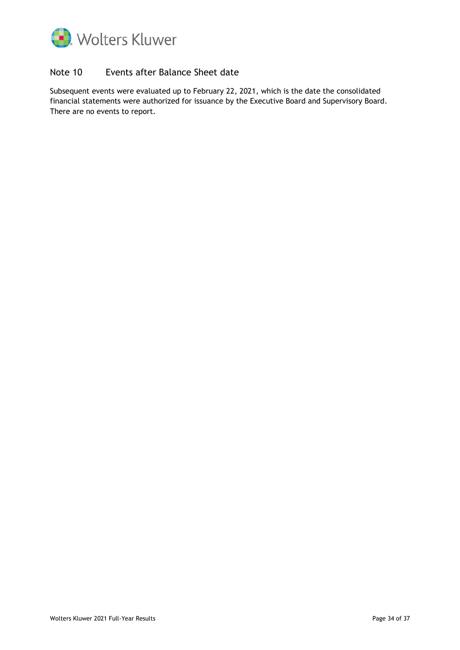

# Note 10 Events after Balance Sheet date

Subsequent events were evaluated up to February 22, 2021, which is the date the consolidated financial statements were authorized for issuance by the Executive Board and Supervisory Board. There are no events to report.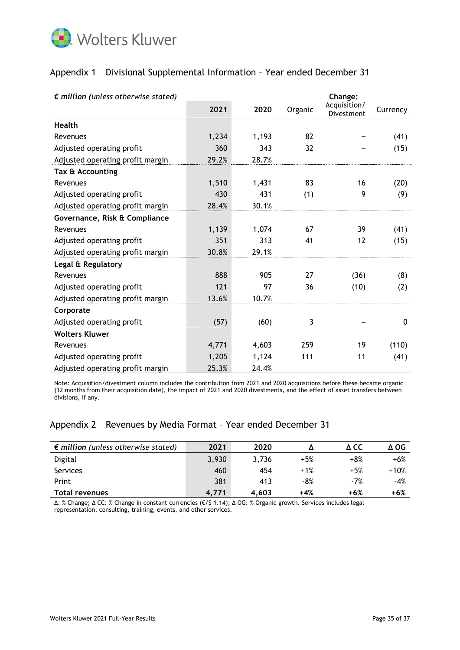

| $\epsilon$ million (unless otherwise stated) |       |       |         | Change:                    |          |
|----------------------------------------------|-------|-------|---------|----------------------------|----------|
|                                              | 2021  | 2020  | Organic | Acquisition/<br>Divestment | Currency |
| <b>Health</b>                                |       |       |         |                            |          |
| Revenues                                     | 1,234 | 1,193 | 82      |                            | (41)     |
| Adjusted operating profit                    | 360   | 343   | 32      |                            | (15)     |
| Adjusted operating profit margin             | 29.2% | 28.7% |         |                            |          |
| Tax & Accounting                             |       |       |         |                            |          |
| Revenues                                     | 1,510 | 1,431 | 83      | 16                         | (20)     |
| Adjusted operating profit                    | 430   | 431   | (1)     | 9                          | (9)      |
| Adjusted operating profit margin             | 28.4% | 30.1% |         |                            |          |
| Governance, Risk & Compliance                |       |       |         |                            |          |
| Revenues                                     | 1,139 | 1,074 | 67      | 39                         | (41)     |
| Adjusted operating profit                    | 351   | 313   | 41      | 12                         | (15)     |
| Adjusted operating profit margin             | 30.8% | 29.1% |         |                            |          |
| Legal & Regulatory                           |       |       |         |                            |          |
| Revenues                                     | 888   | 905   | 27      | (36)                       | (8)      |
| Adjusted operating profit                    | 121   | 97    | 36      | (10)                       | (2)      |
| Adjusted operating profit margin             | 13.6% | 10.7% |         |                            |          |
| Corporate                                    |       |       |         |                            |          |
| Adjusted operating profit                    | (57)  | (60)  | 3       |                            | 0        |
| <b>Wolters Kluwer</b>                        |       |       |         |                            |          |
| Revenues                                     | 4,771 | 4,603 | 259     | 19                         | (110)    |
| Adjusted operating profit                    | 1,205 | 1,124 | 111     | 11                         | (41)     |
| Adjusted operating profit margin             | 25.3% | 24.4% |         |                            |          |

# Appendix 1 Divisional Supplemental Information – Year ended December 31

Note: Acquisition/divestment column includes the contribution from 2021 and 2020 acquisitions before these became organic (12 months from their acquisition date), the impact of 2021 and 2020 divestments, and the effect of asset transfers between divisions, if any.

# Appendix 2 Revenues by Media Format – Year ended December 31

| $\epsilon$ million (unless otherwise stated) | 2021  | 2020  |       | д сс  | Δ OG   |
|----------------------------------------------|-------|-------|-------|-------|--------|
| Digital                                      | 3,930 | 3,736 | $+5%$ | $+8%$ | $+6%$  |
| <b>Services</b>                              | 460   | 454   | $+1%$ | $+5%$ | $+10%$ |
| Print                                        | 381   | 413   | $-8%$ | $-7%$ | $-4%$  |
| <b>Total revenues</b>                        | 4.771 | 4.603 | +4%   | +6%   | $+6%$  |

∆: % Change; ∆ CC: % Change in constant currencies (€/\$ 1.14); ∆ OG: % Organic growth. Services includes legal representation, consulting, training, events, and other services.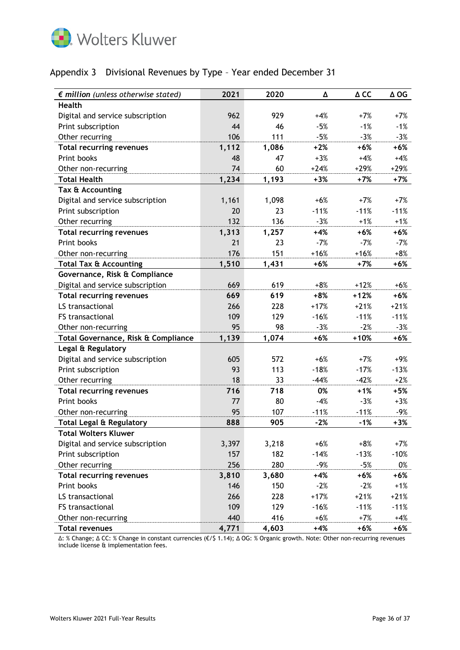

# Appendix 3 Divisional Revenues by Type – Year ended December 31

| $\epsilon$ million (unless otherwise stated) | 2021  | 2020  | Δ      | $\Delta$ CC | ∆ OG   |
|----------------------------------------------|-------|-------|--------|-------------|--------|
| <b>Health</b>                                |       |       |        |             |        |
| Digital and service subscription             | 962   | 929   | $+4%$  | $+7%$       | $+7%$  |
| Print subscription                           | 44    | 46    | $-5%$  | $-1%$       | $-1%$  |
| Other recurring                              | 106   | 111   | $-5%$  | $-3%$       | $-3%$  |
| <b>Total recurring revenues</b>              | 1,112 | 1,086 | $+2%$  | $+6%$       | $+6%$  |
| Print books                                  | 48    | 47    | $+3%$  | $+4%$       | $+4%$  |
| Other non-recurring                          | 74    | 60    | $+24%$ | $+29%$      | $+29%$ |
| <b>Total Health</b>                          | 1,234 | 1,193 | $+3%$  | $+7%$       | $+7%$  |
| Tax & Accounting                             |       |       |        |             |        |
| Digital and service subscription             | 1,161 | 1,098 | $+6%$  | $+7%$       | $+7%$  |
| Print subscription                           | 20    | 23    | $-11%$ | $-11%$      | $-11%$ |
| Other recurring                              | 132   | 136   | $-3%$  | $+1%$       | $+1%$  |
| <b>Total recurring revenues</b>              | 1,313 | 1,257 | $+4%$  | $+6%$       | $+6%$  |
| Print books                                  | 21    | 23    | $-7%$  | $-7%$       | $-7%$  |
| Other non-recurring                          | 176   | 151   | $+16%$ | $+16%$      | $+8%$  |
| <b>Total Tax &amp; Accounting</b>            | 1,510 | 1,431 | $+6%$  | $+7%$       | $+6%$  |
| Governance, Risk & Compliance                |       |       |        |             |        |
| Digital and service subscription             | 669   | 619   | $+8%$  | $+12%$      | $+6%$  |
| <b>Total recurring revenues</b>              | 669   | 619   | $+8%$  | $+12%$      | $+6%$  |
| LS transactional                             | 266   | 228   | $+17%$ | $+21%$      | $+21%$ |
| FS transactional                             | 109   | 129   | $-16%$ | $-11%$      | $-11%$ |
| Other non-recurring                          | 95    | 98    | $-3%$  | $-2%$       | $-3%$  |
| Total Governance, Risk & Compliance          | 1,139 | 1,074 | $+6%$  | $+10%$      | $+6%$  |
| Legal & Regulatory                           |       |       |        |             |        |
| Digital and service subscription             | 605   | 572   | $+6%$  | $+7%$       | $+9%$  |
| Print subscription                           | 93    | 113   | $-18%$ | $-17%$      | $-13%$ |
| Other recurring                              | 18    | 33    | $-44%$ | $-42%$      | $+2%$  |
| <b>Total recurring revenues</b>              | 716   | 718   | 0%     | $+1%$       | $+5%$  |
| Print books                                  | 77    | 80    | $-4%$  | $-3%$       | $+3%$  |
| Other non-recurring                          | 95    | 107   | $-11%$ | $-11%$      | -9%    |
| <b>Total Legal &amp; Regulatory</b>          | 888   | 905   | $-2%$  | $-1%$       | $+3%$  |
| <b>Total Wolters Kluwer</b>                  |       |       |        |             |        |
| Digital and service subscription             | 3,397 | 3,218 | $+6%$  | $+8%$       | $+7%$  |
| Print subscription                           | 157   | 182   | $-14%$ | $-13%$      | $-10%$ |
| Other recurring                              | 256   | 280   | $-9%$  | $-5%$       | 0%     |
| <b>Total recurring revenues</b>              | 3,810 | 3,680 | +4%    | $+6%$       | $+6%$  |
| Print books                                  | 146   | 150   | $-2%$  | $-2%$       | $+1%$  |
| LS transactional                             | 266   | 228   | $+17%$ | $+21%$      | $+21%$ |
| FS transactional                             | 109   | 129   | $-16%$ | $-11%$      | $-11%$ |
| Other non-recurring                          | 440   | 416   | $+6%$  | $+7%$       | $+4%$  |
| <b>Total revenues</b>                        | 4,771 | 4,603 | $+4%$  | $+6%$       | +6%    |

∆: % Change; ∆ CC: % Change in constant currencies (€/\$ 1.14); ∆ OG: % Organic growth. Note: Other non-recurring revenues include license & implementation fees.